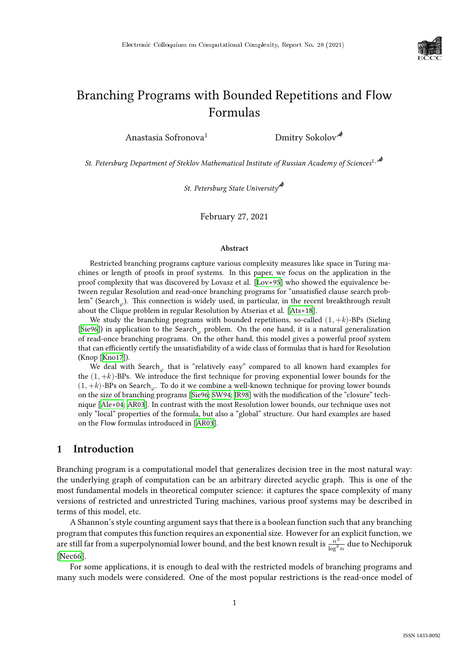

# Branching Programs with Bounded Repetitions and Flow Formulas

Anastasia Sofronova<sup>1</sup> Dmitry Sokolov<sup>4</sup>

*St. Petersburg Department of Steklov Mathematical Institute of Russian Academy of Sciences*1,

*St. Petersburg State University*

February 27, 2021

#### **Abstract**

Restricted branching programs capture various complexity measures like space in Turing machines or length of proofs in proof systems. In this paper, we focus on the application in the proof complexity that was discovered by Lovasz et al. [\[Lov+95\]](#page--1-0) who showed the equivalence between regular Resolution and read-once branching programs for "unsatisfied clause search problem" (Search<sub>o</sub>). This connection is widely used, in particular, in the recent breakthrough result about the Clique problem in regular Resolution by Atserias et al. [\[Ats+18\]](#page--1-1).

We study the branching programs with bounded repetitions, so-called  $(1, +k)$ -BPs (Sieling [[Sie96](#page--1-2)]) in application to the Search<sub> $\varphi$ </sub> problem. On the one hand, it is a natural generalization of read-once branching programs. On the other hand, this model gives a powerful proof system that can efficiently certify the unsatisfiability of a wide class of formulas that is hard for Resolution (Knop [\[Kno17](#page--1-3)]).

We deal with Search that is "relatively easy" compared to all known hard examples for the  $(1, +k)$ -BPs. We introduce the first technique for proving exponential lower bounds for the  $(1, +k)$ -BPs on Search<sub>.</sub>. To do it we combine a well-known technique for proving lower bounds on the size of branching programs [\[Sie96](#page--1-2); [SW94;](#page--1-4) [JR98\]](#page--1-5) with the modification of the "closure" technique [\[Ale+04;](#page--1-6) [AR03\]](#page--1-7). In contrast with the most Resolution lower bounds, our technique uses not only "local" properties of the formula, but also a "global" structure. Our hard examples are based on the Flow formulas introduced in [\[AR03](#page--1-7)].

# **1 Introduction**

Branching program is a computational model that generalizes decision tree in the most natural way: the underlying graph of computation can be an arbitrary directed acyclic graph. This is one of the most fundamental models in theoretical computer science: it captures the space complexity of many versions of restricted and unrestricted Turing machines, various proof systems may be described in terms of this model, etc.

A Shannon's style counting argument says that there is a boolean function such that any branching program that computes this function requires an exponential size. However for an explicit function, we are still far from a superpolynomial lower bound, and the best known result is  $\frac{n^2}{\ln 2}$  $\frac{n^2}{\log^2 n}$  due to Nechiporuk [[Nec66](#page--1-8)].

For some applications, it is enough to deal with the restricted models of branching programs and many such models were considered. One of the most popular restrictions is the read-once model of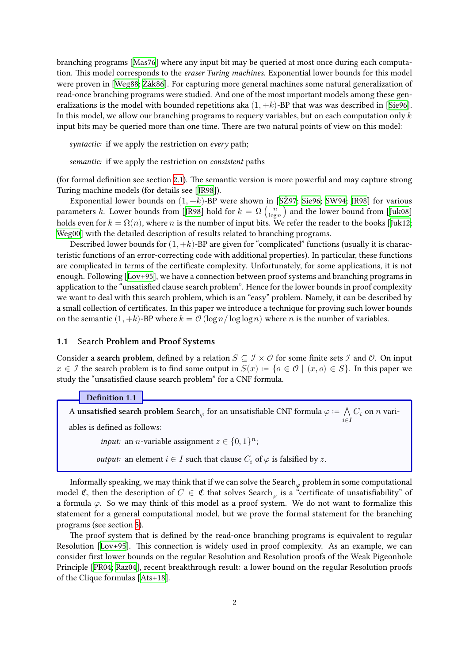branching programs[[Mas76\]](#page-22-0) where any input bit may be queried at most once during each computation. This model corresponds to the *eraser Turing machines*. Exponential lower bounds for this model were proven in[[Weg88;](#page-22-1) [Žák86](#page-22-2)]. For capturing more general machines some natural generalization of read-once branching programs were studied. And one of the most important models among these generalizationsis the model with bounded repetitions aka  $(1, +k)$ -BP that was was described in [[Sie96\]](#page-22-3). In this model, we allow our branching programs to requery variables, but on each computation only  $k$ input bits may be queried more than one time. There are two natural points of view on this model:

*syntactic:* if we apply the restriction on *every* path;

*semantic:* if we apply the restriction on *consistent* paths

(for formal definition see section [2.1\)](#page-4-0). The semantic version is more powerful and may capture strong Turing machine models (for details see [\[JR98](#page-21-0)]).

Exponentiallower bounds on  $(1, +k)$ -BP were shown in [SZ97; [Sie96;](#page-22-3) [SW94](#page-22-5); [JR98](#page-21-0)] for various parameters $k$ . Lower bounds from [[JR98](#page-21-0)] hold for  $k=\Omega\left(\frac{n}{\log n}\right)$  and the lower bound from [\[Juk08](#page-21-1)] holdseven for  $k = \Omega(n)$ , where *n* is the number of input bits. We refer the reader to the books [[Juk12;](#page-21-2) [Weg00\]](#page-22-6) with the detailed description of results related to branching programs.

Described lower bounds for  $(1, +k)$ -BP are given for "complicated" functions (usually it is characteristic functions of an error-correcting code with additional properties). In particular, these functions are complicated in terms of the certificate complexity. Unfortunately, for some applications, it is not enough. Following[[Lov+95\]](#page-22-7), we have a connection between proof systems and branching programs in application to the "unsatisfied clause search problem". Hence for the lower bounds in proof complexity we want to deal with this search problem, which is an "easy" problem. Namely, it can be described by a small collection of certificates. In this paper we introduce a technique for proving such lower bounds on the semantic  $(1, +k)$ -BP where  $k = \mathcal{O}(\log n / \log \log n)$  where *n* is the number of variables.

#### **1.1** Search **Problem and Proof Systems**

Consider a **search problem**, defined by a relation  $S \subseteq \mathcal{I} \times \mathcal{O}$  for some finite sets  $\mathcal{I}$  and  $\mathcal{O}$ . On input  $x \in \mathcal{I}$  the search problem is to find some output in  $S(x) := \{o \in \mathcal{O} \mid (x, o) \in S\}$ . In this paper we study the "unsatisfied clause search problem" for a CNF formula.

### **Definition 1.1**

A **unsatisfied search problem** Search<sub> $\varphi$ </sub> for an unsatisfiable CNF formula  $\varphi \coloneqq \bigwedge\limits_{i \in I} C_i$  on  $n$  vari-

ables is defined as follows:

*input:* an *n*-variable assignment  $z \in \{0,1\}^n$ ;

*output:* an element  $i \in I$  such that clause  $C_i$  of  $\varphi$  is falsified by z.

Informally speaking, we may think that if we can solve the Search  $\varphi$  problem in some computational model C, then the description of  $C \in \mathfrak{C}$  that solves Search<sub> $\varphi$ </sub> is a "certificate of unsatisfiability" of a formula  $\varphi$ . So we may think of this model as a proof system. We do not want to formalize this statement for a general computational model, but we prove the formal statement for the branching programs (see section [5\)](#page-19-0).

The proof system that is defined by the read-once branching programs is equivalent to regular Resolution [\[Lov+95\]](#page-22-7). This connection is widely used in proof complexity. As an example, we can consider first lower bounds on the regular Resolution and Resolution proofs of the Weak Pigeonhole Principle[[PR04](#page-22-8); [Raz04](#page-22-9)], recent breakthrough result: a lower bound on the regular Resolution proofs of the Clique formulas [\[Ats+18\]](#page-21-3).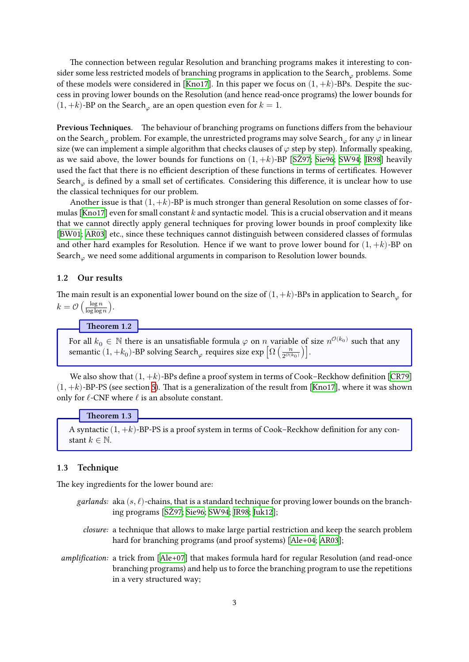The connection between regular Resolution and branching programs makes it interesting to consider some less restricted models of branching programs in application to the Search problems. Some ofthese models were considered in [[Kno17](#page-22-10)]. In this paper we focus on  $(1, +k)$ -BPs. Despite the success in proving lower bounds on the Resolution (and hence read-once programs) the lower bounds for  $(1, +k)$ -BP on the Search<sub> $\varphi$ </sub> are an open question even for  $k = 1$ .

**Previous Techniques.** The behaviour of branching programs on functions differs from the behaviour on the Search problem. For example, the unrestricted programs may solve Search  $\alpha$  for any  $\varphi$  in linear size (we can implement a simple algorithm that checks clauses of  $\varphi$  step by step). Informally speaking, aswe said above, the lower bounds for functions on  $(1, +k)$ -BP [[SŽ97;](#page-22-4) [Sie96;](#page-22-3) [SW94](#page-22-5); [JR98](#page-21-0)] heavily used the fact that there is no efficient description of these functions in terms of certificates. However Search<sub> $\varphi$ </sub> is defined by a small set of certificates. Considering this difference, it is unclear how to use the classical techniques for our problem.

Another issue is that  $(1, +k)$ -BP is much stronger than general Resolution on some classes of for-mulas [\[Kno17\]](#page-22-10) even for small constant  $k$  and syntactic model. This is a crucial observation and it means that we cannot directly apply general techniques for proving lower bounds in proof complexity like [[BW01;](#page-21-4) [AR03](#page-21-5)] etc., since these techniques cannot distinguish between considered classes of formulas and other hard examples for Resolution. Hence if we want to prove lower bound for  $(1, +k)$ -BP on Search<sub> $\omega$ </sub> we need some additional arguments in comparison to Resolution lower bounds.

### **1.2 Our results**

The main result is an exponential lower bound on the size of  $(1, +k)$ -BPs in application to Search<sub> $\varphi$ </sub> for  $k = \mathcal{O}\left(\frac{\log n}{\log \log n}\right).$ 

**Theorem 1.2**

<span id="page-2-0"></span>For all  $k_0 \in \mathbb{N}$  there is an unsatisfiable formula  $\varphi$  on  $n$  variable of size  $n^{\mathcal{O}(k_0)}$  such that any semantic  $(1,+k_0)$ -BP solving Search $_\varphi$  requires size  $\exp\left[\Omega\left(\frac{n}{2^{\mathcal{O}(k_0)}}\right)\right]$ .

Wealso show that  $(1, +k)$ -BPs define a proof system in terms of Cook–Reckhow definition [[CR79](#page-21-6)]  $(1, +k)$  $(1, +k)$  $(1, +k)$ -BP-PS (see section [5\)](#page-19-0). That is a generalization of the result from [[Kno17](#page-22-10)], where it was shown only for  $\ell$ -CNF where  $\ell$  is an absolute constant.

#### **Theorem 1.3**

<span id="page-2-1"></span>A syntactic  $(1, +k)$ -BP-PS is a proof system in terms of Cook–Reckhow definition for any constant  $k \in \mathbb{N}$ .

### **1.3 Technique**

The key ingredients for the lower bound are:

- *garlands:* aka  $(s, \ell)$ -chains, that is a standard technique for proving lower bounds on the branching programs [\[SŽ97](#page-22-4); [Sie96;](#page-22-3) [SW94;](#page-22-5) [JR98](#page-21-0); [Juk12](#page-21-2)];
	- *closure:* a technique that allows to make large partial restriction and keep the search problem hard for branching programs (and proof systems) [\[Ale+04;](#page-21-7) [AR03\]](#page-21-5);
- *amplification:* a trick from[[Ale+07](#page-21-8)] that makes formula hard for regular Resolution (and read-once branching programs) and help us to force the branching program to use the repetitions in a very structured way;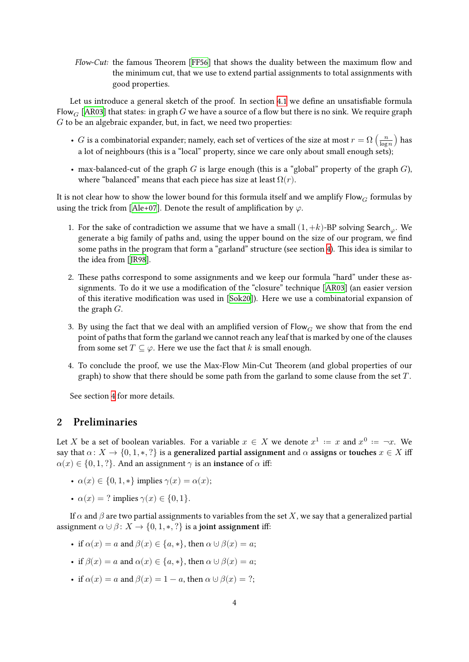*Flow-Cut:* the famous Theorem [\[FF56](#page-21-9)] that shows the duality between the maximum flow and the minimum cut, that we use to extend partial assignments to total assignments with good properties.

Let us introduce a general sketch of the proof. In section [4.1](#page-8-0) we define an unsatisfiable formula Flow<sub>G</sub> [\[AR03](#page-21-5)] that states: in graph *G* we have a source of a flow but there is no sink. We require graph  $G$  to be an algebraic expander, but, in fact, we need two properties:

- $G$  is a combinatorial expander; namely, each set of vertices of the size at most  $r = \Omega\left(\frac{n}{\log n}\right)$  has a lot of neighbours (this is a "local" property, since we care only about small enough sets);
- max-balanced-cut of the graph G is large enough (this is a "global" property of the graph  $G$ ), where "balanced" means that each piece has size at least  $\Omega(r)$ .

It is not clear how to show the lower bound for this formula itself and we amplify  $Flow_G$  formulas by usingthe trick from [[Ale+07](#page-21-8)]. Denote the result of amplification by  $\varphi$ .

- 1. For the sake of contradiction we assume that we have a small  $(1, +k)$ -BP solving Search<sub> $\varphi$ </sub>. We generate a big family of paths and, using the upper bound on the size of our program, we find some paths in the program that form a "garland" structure (see section [4\)](#page-6-0). This idea is similar to the idea from [\[JR98](#page-21-0)].
- 2. These paths correspond to some assignments and we keep our formula "hard" under these assignments. To do it we use a modification of the "closure" technique [\[AR03](#page-21-5)] (an easier version of this iterative modification was used in[[Sok20](#page-22-11)]). Here we use a combinatorial expansion of the graph  $G$ .
- 3. By using the fact that we deal with an amplified version of Flow  $_G$  we show that from the end point of paths that form the garland we cannot reach any leaf that is marked by one of the clauses from some set  $T \subseteq \varphi$ . Here we use the fact that k is small enough.
- 4. To conclude the proof, we use the Max-Flow Min-Cut Theorem (and global properties of our graph) to show that there should be some path from the garland to some clause from the set  $T$ .

See section [4](#page-6-0) for more details.

# **2 Preliminaries**

Let X be a set of boolean variables. For a variable  $x \in X$  we denote  $x^1 := x$  and  $x^0 := \neg x$ . We say that  $\alpha: X \to \{0, 1, \ast, ?\}$  is a **generalized partial assignment** and  $\alpha$  **assigns** or **touches**  $x \in X$  iff  $\alpha(x) \in \{0, 1, ?\}$ . And an assignment  $\gamma$  is an **instance** of  $\alpha$  iff:

- $\alpha(x) \in \{0, 1, *\}$  implies  $\gamma(x) = \alpha(x);$
- $\alpha(x) = ?$  implies  $\gamma(x) \in \{0, 1\}.$

If  $\alpha$  and  $\beta$  are two partial assignments to variables from the set X, we say that a generalized partial assignment  $\alpha \cup \beta : X \to \{0, 1, \ast, ?\}$  is a **joint assignment** iff:

- if  $\alpha(x) = a$  and  $\beta(x) \in \{a, *\}$ , then  $\alpha \cup \beta(x) = a$ ;
- if  $\beta(x) = a$  and  $\alpha(x) \in \{a, *\}$ , then  $\alpha \cup \beta(x) = a$ ;
- if  $\alpha(x) = a$  and  $\beta(x) = 1 a$ , then  $\alpha \cup \beta(x) = ?$ ;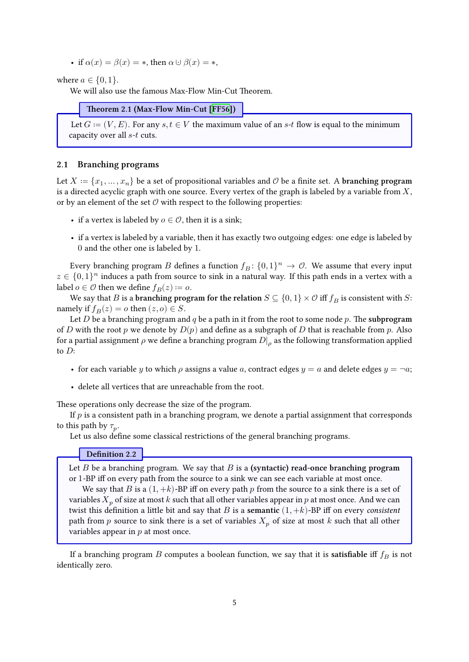• if  $\alpha(x) = \beta(x) = *$ , then  $\alpha \cup \beta(x) = *$ ,

where  $a \in \{0, 1\}$ .

We will also use the famous Max-Flow Min-Cut Theorem.

**Theorem 2.1 (Max-Flow Min-Cut [\[FF56\]](#page-21-9))**

Let  $G := (V, E)$ . For any  $s, t \in V$  the maximum value of an  $s$ -t flow is equal to the minimum capacity over all  $s$ - $t$  cuts.

### <span id="page-4-0"></span>**2.1 Branching programs**

Let  $X \coloneqq \{x_1, \dots, x_n\}$  be a set of propositional variables and  $\mathcal O$  be a finite set. A **branching program** is a directed acyclic graph with one source. Every vertex of the graph is labeled by a variable from  $X$ , or by an element of the set  $\mathcal O$  with respect to the following properties:

- if a vertex is labeled by  $o \in \mathcal{O}$ , then it is a sink;
- if a vertex is labeled by a variable, then it has exactly two outgoing edges: one edge is labeled by 0 and the other one is labeled by 1.

Every branching program B defines a function  $f_B: \{0,1\}^n \to \mathcal{O}$ . We assume that every input  $z \in \{0,1\}^n$  induces a path from source to sink in a natural way. If this path ends in a vertex with a label  $o \in \mathcal{O}$  then we define  $f_B(z) := o$ .

We say that *B* is a **branching program for the relation**  $S \subseteq \{0,1\} \times \mathcal{O}$  iff  $f_B$  is consistent with *S*: namely if  $f_B(z) = o$  then  $(z, o) \in S$ .

Let  $D$  be a branching program and  $q$  be a path in it from the root to some node  $p$ . The **subprogram** of D with the root p we denote by  $D(p)$  and define as a subgraph of D that is reachable from p. Also for a partial assignment  $\rho$  we define a branching program  $D|_\rho$  as the following transformation applied to  $D$ :

- for each variable y to which  $\rho$  assigns a value a, contract edges  $y = a$  and delete edges  $y = \neg a$ ;
- delete all vertices that are unreachable from the root.

These operations only decrease the size of the program.

If  $p$  is a consistent path in a branching program, we denote a partial assignment that corresponds to this path by  $\tau_p$ .

Let us also define some classical restrictions of the general branching programs.

**Definition 2.2**

Let  $B$  be a branching program. We say that  $B$  is a (syntactic) read-once branching program or 1-BP iff on every path from the source to a sink we can see each variable at most once.

We say that  $B$  is a  $(1, +k)$ -BP iff on every path  $p$  from the source to a sink there is a set of variables  $X_n$  of size at most k such that all other variables appear in p at most once. And we can twist this definition a little bit and say that  $B$  is a **semantic**  $(1, +k)$ -BP iff on every *consistent* path from p source to sink there is a set of variables  $X_p$  of size at most k such that all other variables appear in  $p$  at most once.

If a branching program *B* computes a boolean function, we say that it is **satisfiable** iff  $f_B$  is not identically zero.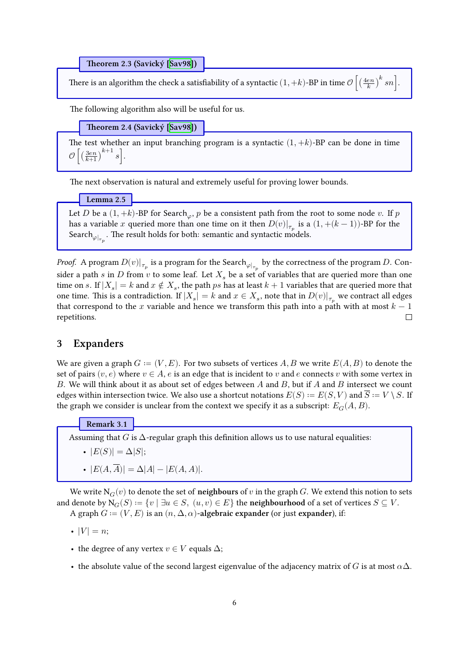**Theorem 2.3 (Savický[[Sav98](#page-22-12)])**

There is an algorithm the check a satisfiability of a syntactic  $(1,+k)$ -BP in time  $\mathcal{O}\left[\left(\frac{4en}{k}\right)^k sn\right]$ .

The following algorithm also will be useful for us.

**Theorem 2.4 (Savický[[Sav98](#page-22-12)])**

<span id="page-5-2"></span>The test whether an input branching program is a syntactic  $(1, +k)$ -BP can be done in time  $\mathcal{O}\left[\left(\frac{3en}{k+1}\right)^{k+1} s\right]$ .

The next observation is natural and extremely useful for proving lower bounds.

**Lemma 2.5**

<span id="page-5-1"></span>Let D be a  $(1, +k)$ -BP for Search<sub> $\varphi$ </sub>, p be a consistent path from the root to some node v. If p has a variable  $x$  queried more than one time on it then  $D(v)|_{\tau_p}$  is a  $(1, +(k-1))$ -BP for the Search $\varphi_{\vert_{\tau_p}}.$  The result holds for both: semantic and syntactic models.

*Proof.* A program  $D(v)|_{\tau_p}$  is a program for the Search $_{\varphi|_{\tau_p}}$  by the correctness of the program  $D.$  Consider a path  $s$  in  $D$  from  $v$  to some leaf. Let  $X_s$  be a set of variables that are queried more than one time on s. If  $|X_s| = k$  and  $x \notin X_s$ , the path  $ps$  has at least  $k + 1$  variables that are queried more that one time. This is a contradiction. If  $|X_s|=k$  and  $x\in X_s$ , note that in  $D(v)|_{\tau_p}$  we contract all edges that correspond to the x variable and hence we transform this path into a path with at most  $k - 1$ repetitions.  $\Box$ 

### **3 Expanders**

We are given a graph  $G := (V, E)$ . For two subsets of vertices A, B we write  $E(A, B)$  to denote the set of pairs  $(v, e)$  where  $v \in A$ , e is an edge that is incident to v and e connects v with some vertex in B. We will think about it as about set of edges between A and B, but if A and B intersect we count edges within intersection twice. We also use a shortcut notations  $E(S) := E(S, V)$  and  $\overline{S} := V \setminus S$ . If the graph we consider is unclear from the context we specify it as a subscript:  $E_G(A, B)$ .

**Remark 3.1**

<span id="page-5-0"></span>Assuming that  $G$  is  $\Delta$ -regular graph this definition allows us to use natural equalities:

- $|E(S)| = \Delta |S|$ ;
- $|E(A, \overline{A})| = \Delta |A| |E(A, A)|.$

We write  $N_G(v)$  to denote the set of **neighbours** of v in the graph G. We extend this notion to sets and denote by  $N_G(S) := \{v \mid \exists u \in S, (u, v) \in E\}$  the **neighbourhood** of a set of vertices  $S \subseteq V$ . A graph  $G := (V, E)$  is an  $(n, \Delta, \alpha)$ -algebraic expander (or just expander), if:

•  $|V| = n$ ;

- the degree of any vertex  $v \in V$  equals  $\Delta$ ;
- the absolute value of the second largest eigenvalue of the adjacency matrix of G is at most  $\alpha\Delta$ .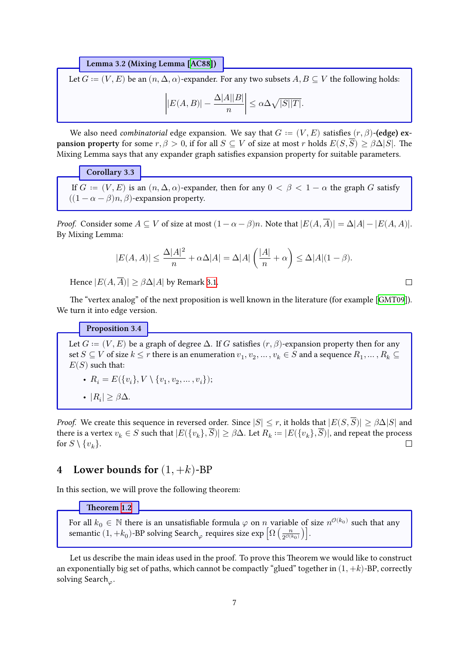**Lemma 3.2 (Mixing Lemma[[AC88](#page-21-10)])**

Let  $G := (V, E)$  be an  $(n, \Delta, \alpha)$ -expander. For any two subsets  $A, B \subseteq V$  the following holds:

$$
\left| |E(A,B)| - \frac{\Delta |A||B|}{n} \right| \le \alpha \Delta \sqrt{|S||T|}.
$$

We also need *combinatorial* edge expansion. We say that  $G := (V, E)$  satisfies  $(r, \beta)$ -(edge) ex**pansion property** for some  $r, \beta > 0$ , if for all  $S \subseteq V$  of size at most r holds  $E(S, \overline{S}) \geq \beta \Delta |S|$ . The Mixing Lemma says that any expander graph satisfies expansion property for suitable parameters.

### **Corollary 3.3**

<span id="page-6-1"></span>If  $G := (V, E)$  is an  $(n, \Delta, \alpha)$ -expander, then for any  $0 < \beta < 1 - \alpha$  the graph G satisfy  $((1 - \alpha - \beta)n, \beta)$ -expansion property.

*Proof.* Consider some  $A \subseteq V$  of size at most  $(1 - \alpha - \beta)n$ . Note that  $|E(A, \overline{A})| = \Delta |A| - |E(A, A)|$ . By Mixing Lemma:

$$
|E(A,A)|\leq \frac{\Delta|A|^2}{n}+\alpha\Delta|A|=\Delta|A|\left(\frac{|A|}{n}+\alpha\right)\leq \Delta|A|(1-\beta).
$$

Hence  $|E(A, \overline{A})| > \beta \Delta |A|$  by Remark [3.1](#page-5-0).

The "vertex analog" of the next proposition is well known in the literature (for example [\[GMT09\]](#page-21-11)). We turn it into edge version.

**Proposition 3.4**

<span id="page-6-2"></span>Let  $G := (V, E)$  be a graph of degree  $\Delta$ . If G satisfies  $(r, \beta)$ -expansion property then for any set  $S\subseteq V$  of size  $k\leq r$  there is an enumeration  $v_1,v_2,\ldots,v_k\in S$  and a sequence  $R_1,\ldots,R_k\subseteq$  $E(S)$  such that:

• 
$$
R_i = E({v_i}, V \setminus {v_1, v_2, ..., v_i});
$$

•  $|R_i| \geq \beta \Delta$ .

*Proof.* We create this sequence in reversed order. Since  $|S| \le r$ , it holds that  $|E(S, \overline{S})| \ge \beta \Delta |S|$  and there is a vertex  $v_k \in S$  such that  $|E(\{v_k\}, \overline{S})| \geq \beta \Delta$ . Let  $R_k := |E(\{v_k\}, \overline{S})|$ , and repeat the process for  $S \setminus \{v_k\}.$  $\Box$ 

# <span id="page-6-0"></span>**4** Lower bounds for  $(1, +k)$ -BP

In this section, we will prove the following theorem:

#### **Theorem [1.2](#page-2-0)**

For all  $k_0 \in \mathbb{N}$  there is an unsatisfiable formula  $\varphi$  on  $n$  variable of size  $n^{\mathcal{O}(k_0)}$  such that any semantic  $(1,+k_0)$ -BP solving Search $_\varphi$  requires size  $\exp\left[\Omega\left(\frac{n}{2^{\mathcal{O}(k_0)}}\right)\right]$ .

Let us describe the main ideas used in the proof. To prove this Theorem we would like to construct an exponentially big set of paths, which cannot be compactly "glued" together in  $(1, +k)$ -BP, correctly solving Search<sub> $\varphi$ </sub>.

 $\Box$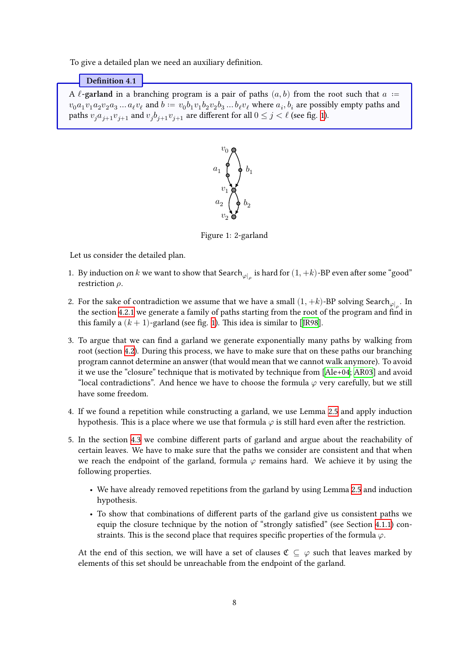To give a detailed plan we need an auxiliary definition.

#### **Definition 4.1**

<span id="page-7-0"></span>A  $\ell$ **-garland** in a branching program is a pair of paths  $(a, b)$  from the root such that  $a :=$  $v_0a_1v_1a_2v_2a_3\ldots a_\ell v_\ell$  and  $b\coloneqq v_0b_1v_1b_2v_2b_3\ldots b_\ell v_\ell$  where  $a_i,b_i$  are possibly empty paths and paths  $v_j a_{j+1} v_{j+1}$  $v_j a_{j+1} v_{j+1}$  $v_j a_{j+1} v_{j+1}$  and  $v_j b_{j+1} v_{j+1}$  are different for all  $0 \le j < \ell$  (see fig. 1).



Figure 1: 2-garland

Let us consider the detailed plan.

- 1. By induction on  $k$  we want to show that Search $_{\varphi|_\rho}$  is hard for  $(1, +k)$ -BP even after some "good" restriction  $\rho$ .
- 2. For the sake of contradiction we assume that we have a small  $(1, +k)$ -BP solving Search $_{\varphi|_{\rho}}$ . In the section [4.2.1](#page-11-0) we generate a family of paths starting from the root of the program and find in thisfamily a  $(k + 1)$  $(k + 1)$  $(k + 1)$ -garland (see fig. 1). This idea is similar to [[JR98](#page-21-0)].
- 3. To argue that we can find a garland we generate exponentially many paths by walking from root (section [4.2\)](#page-10-0). During this process, we have to make sure that on these paths our branching program cannot determine an answer (that would mean that we cannot walk anymore). To avoid it we use the "closure" technique that is motivated by technique from[[Ale+04](#page-21-7); [AR03](#page-21-5)] and avoid "local contradictions". And hence we have to choose the formula  $\varphi$  very carefully, but we still have some freedom.
- 4. If we found a repetition while constructing a garland, we use Lemma [2.5](#page-5-1) and apply induction hypothesis. This is a place where we use that formula  $\varphi$  is still hard even after the restriction.
- 5. In the section [4.3](#page-13-0) we combine different parts of garland and argue about the reachability of certain leaves. We have to make sure that the paths we consider are consistent and that when we reach the endpoint of the garland, formula  $\varphi$  remains hard. We achieve it by using the following properties.
	- We have already removed repetitions from the garland by using Lemma [2.5](#page-5-1) and induction hypothesis.
	- To show that combinations of different parts of the garland give us consistent paths we equip the closure technique by the notion of "strongly satisfied" (see Section [4.1.1\)](#page-9-0) constraints. This is the second place that requires specific properties of the formula  $\varphi$ .

At the end of this section, we will have a set of clauses  $\mathfrak{C} \subseteq \varphi$  such that leaves marked by elements of this set should be unreachable from the endpoint of the garland.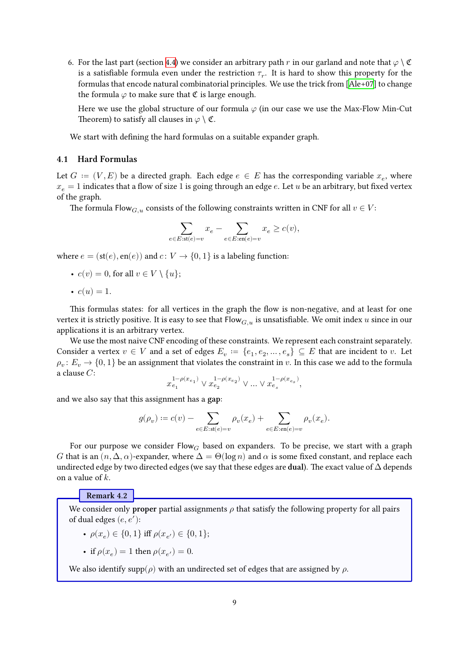6. For the last part (section [4.4\)](#page-14-0) we consider an arbitrary path r in our garland and note that  $\varphi \setminus \mathfrak{C}$ is a satisfiable formula even under the restriction  $\tau_r.$  It is hard to show this property for the formulas that encode natural combinatorial principles. We use the trick from[[Ale+07](#page-21-8)] to change the formula  $\varphi$  to make sure that  $\mathfrak C$  is large enough.

Here we use the global structure of our formula  $\varphi$  (in our case we use the Max-Flow Min-Cut Theorem) to satisfy all clauses in  $\varphi \setminus \mathfrak{C}$ .

We start with defining the hard formulas on a suitable expander graph.

### <span id="page-8-0"></span>**4.1 Hard Formulas**

Let  $G := (V, E)$  be a directed graph. Each edge  $e \in E$  has the corresponding variable  $x_e$ , where  $x_e = 1$  indicates that a flow of size 1 is going through an edge e. Let u be an arbitrary, but fixed vertex of the graph.

The formula Flow<sub>*G*, u</sub> consists of the following constraints written in CNF for all  $v \in V$ :

$$
\sum_{e \in E: \text{st}(e)=v} x_e - \sum_{e \in E: \text{en}(e)=v} x_e \geq c(v),
$$

where  $e = (st(e), en(e))$  and  $c: V \rightarrow \{0, 1\}$  is a labeling function:

• 
$$
c(v) = 0
$$
, for all  $v \in V \setminus \{u\};$ 

$$
\bullet \ \ c(u) = 1.
$$

This formulas states: for all vertices in the graph the flow is non-negative, and at least for one vertex it is strictly positive. It is easy to see that  $Flow_{G,u}$  is unsatisfiable. We omit index u since in our applications it is an arbitrary vertex.

We use the most naive CNF encoding of these constraints. We represent each constraint separately. Consider a vertex  $v \in V$  and a set of edges  $E_v := \{e_1, e_2, ..., e_s\} \subseteq E$  that are incident to v. Let  $\rho_v \colon E_v \to \{0,1\}$  be an assignment that violates the constraint in  $v.$  In this case we add to the formula a clause  $C$ :

$$
x_{e_1}^{1-\rho(x_{e_1})} \vee x_{e_2}^{1-\rho(x_{e_2})} \vee \ldots \vee x_{e_s}^{1-\rho(x_{e_s})},
$$

and we also say that this assignment has a **gap**:

$$
g(\rho_v) \coloneqq c(v) - \sum_{e \in E: \mathsf{st}(e) = v} \rho_v(x_e) + \sum_{e \in E: \mathsf{en}(e) = v} \rho_v(x_e).
$$

For our purpose we consider Flow<sub> $G$ </sub> based on expanders. To be precise, we start with a graph G that is an  $(n, \Delta, \alpha)$ -expander, where  $\Delta = \Theta(\log n)$  and  $\alpha$  is some fixed constant, and replace each undirected edge by two directed edges (we say that these edges are **dual**). The exact value of Δ depends on a value of  $k$ .

**Remark 4.2**

We consider only **proper** partial assignments  $\rho$  that satisfy the following property for all pairs of dual edges  $(e, e')$ :

•  $\rho(x_e) \in \{0, 1\}$  iff  $\rho(x_{e'}) \in \{0, 1\};$ 

- if 
$$
\rho(x_e)=1
$$
 then  $\rho(x_{e'})=0.$ 

We also identify supp( $\rho$ ) with an undirected set of edges that are assigned by  $\rho$ .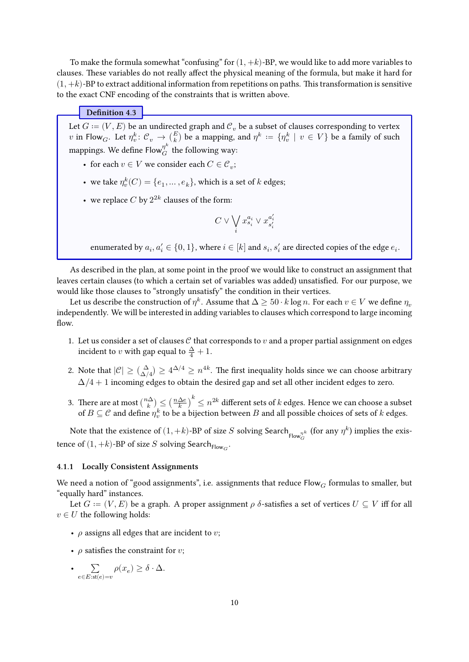To make the formula somewhat "confusing" for  $(1, +k)$ -BP, we would like to add more variables to clauses. These variables do not really affect the physical meaning of the formula, but make it hard for  $(1, +k)$ -BP to extract additional information from repetitions on paths. This transformation is sensitive to the exact CNF encoding of the constraints that is written above.

### **Definition 4.3**

Let  $G \coloneqq (V, E)$  be an undirected graph and  ${\mathcal C}_v$  be a subset of clauses corresponding to vertex  $v$  in Flow $_G$ . Let  $\eta^k_v\colon {\mathcal C}_v\to \binom{E}{k}$  be a mapping, and  $\eta^k\,:=\,\{\eta^k_v\,\,|\,\,v\,\in\,V\}$  be a family of such mappings. We define Flow $^{\eta^k}_G$  the following way:

- for each  $v \in V$  we consider each  $C \in \mathcal{C}_v$ ;
- we take  $\eta^k_v(C)=\{e_1,\ldots,e_k\},$  which is a set of  $k$  edges;
- we replace  $C$  by  $2^{2k}$  clauses of the form:

$$
C\vee\bigvee_i x_{s_i}^{a_i}\vee x_{s_i'}^{a_i'}
$$

enumerated by  $a_i, a'_i \in \{0, 1\}$ , where  $i \in [k]$  and  $s_i, s'_i$  are directed copies of the edge  $e_i$ .

As described in the plan, at some point in the proof we would like to construct an assignment that leaves certain clauses (to which a certain set of variables was added) unsatisfied. For our purpose, we would like those clauses to "strongly unsatisfy" the condition in their vertices.

Let us describe the construction of  $\eta^k$ . Assume that  $\Delta \geq 50 \cdot k \log n.$  For each  $v \in V$  we define  $\eta_v$ independently. We will be interested in adding variables to clauses which correspond to large incoming flow.

- 1. Let us consider a set of clauses  $C$  that corresponds to  $v$  and a proper partial assignment on edges incident to  $v$  with gap equal to  $\frac{\Delta}{4} + 1$ .
- 2. Note that  $|\mathcal{C}| \geq {(\Delta \choose \Delta/4)} \geq 4^{\Delta/4} \geq n^{4k}$ . The first inequality holds since we can choose arbitrary  $\Delta/4+1$  incoming edges to obtain the desired gap and set all other incident edges to zero.
- 3. There are at most  $\binom{n\Delta}{k}$  $\binom{n\Delta}{k} \leq \left(\frac{n\Delta e}{k}\right)^k \leq n^{2k}$  different sets of  $k$  edges. Hence we can choose a subset of  $B\subseteq \mathcal{C}$  and define  $\eta^k_v$  to be a bijection between  $B$  and all possible choices of sets of  $k$  edges.

Note that the existence of  $(1, +k)$ -BP of size  $S$  solving Search $_{\mathsf{Flow}^{\eta^k}_G}$  (for any  $\eta^k$ ) implies the existence of  $(1, +k)$ -BP of size  $S$  solving Search $_{\mathsf{Flow}_G}.$ 

#### <span id="page-9-0"></span>**4.1.1 Locally Consistent Assignments**

We need a notion of "good assignments", i.e. assignments that reduce  $Flow_G$  formulas to smaller, but "equally hard" instances.

Let  $G := (V, E)$  be a graph. A proper assignment  $\rho$   $\delta$ -satisfies a set of vertices  $U \subseteq V$  iff for all  $v \in U$  the following holds:

- $\rho$  assigns all edges that are incident to v;
- $\rho$  satisfies the constraint for  $v$ ;
- ∑  $\sum_{e \in E: \text{st}(e) = v} \rho(x_e) \ge \delta \cdot \Delta.$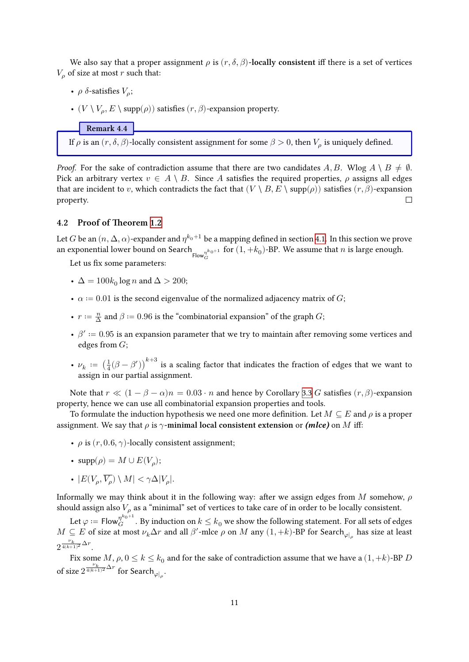We also say that a proper assignment  $\rho$  is  $(r, \delta, \beta)$ -**locally consistent** iff there is a set of vertices  $V<sub>o</sub>$  of size at most r such that:

- $\rho$   $\delta$ -satisfies  $V_{\rho}$ ;
- $(V \setminus V_\rho, E \setminus \text{supp}(\rho))$  satisfies  $(r, \beta)$ -expansion property.

**Remark 4.4**

If  $\rho$  is an  $(r, \delta, \beta)$ -locally consistent assignment for some  $\beta > 0$ , then  $V_\rho$  is uniquely defined.

*Proof.* For the sake of contradiction assume that there are two candidates  $A, B$ . Wlog  $A \setminus B \neq \emptyset$ . Pick an arbitrary vertex  $v \in A \setminus B$ . Since A satisfies the required properties,  $\rho$  assigns all edges that are incident to v, which contradicts the fact that  $(V \setminus B, E \setminus \text{supp}(\rho))$  satisfies  $(r, \beta)$ -expansion property. П

### <span id="page-10-0"></span>**4.2 Proof of Theorem [1.2](#page-2-0)**

Let  $G$  be an  $(n,\Delta,\alpha)$ -expander and  $\eta^{k_0+1}$  be a mapping defined in section [4.1.](#page-8-0) In this section we prove an exponential lower bound on Search  $\frac{n}{\text{Flow}_G^{n_{k_0+1}}}$  for  $(1, +k_0)$ -BP. We assume that  $n$  is large enough.

Let us fix some parameters:

- $\bullet~~ \Delta=100k_0\log n$  and  $\Delta>200;$
- $\alpha = 0.01$  is the second eigenvalue of the normalized adjacency matrix of G;
- $r := \frac{n}{\Delta}$  and  $\beta := 0.96$  is the "combinatorial expansion" of the graph  $G$ ;
- $\beta' := 0.95$  is an expansion parameter that we try to maintain after removing some vertices and edges from  $G$ :
- $\nu_k := \left(\frac{1}{4}(\beta \beta')\right)^{k+3}$  is a scaling factor that indicates the fraction of edges that we want to assign in our partial assignment.

Note that  $r \ll (1 - \beta - \alpha)n = 0.03 \cdot n$  and hence by Corollary [3.3](#page-6-1) G satisfies  $(r, \beta)$ -expansion property, hence we can use all combinatorial expansion properties and tools.

To formulate the induction hypothesis we need one more definition. Let  $M \subseteq E$  and  $\rho$  is a proper assignment. We say that  $\rho$  is  $\gamma$ -minimal local consistent extension or *(mlce)* on M iff:

- $\rho$  is  $(r, 0.6, \gamma)$ -locally consistent assignment;
- $supp(\rho) = M \cup E(V_{\rho});$
- $|E(V_\rho, \overline{V_\rho}) \setminus M| < \gamma \Delta |V_\rho|$ .

Informally we may think about it in the following way: after we assign edges from M somehow,  $\rho$ should assign also  $V_\rho$  as a "minimal" set of vertices to take care of in order to be locally consistent.

Let  $\varphi \coloneqq \mathsf{Flow}^{\eta^{k_0+1}}_G.$  By induction on  $k \leq k_0$  we show the following statement. For all sets of edges  $M\subseteq E$  of size at most  $\nu_k\Delta r$  and all  $\beta'$ -mlce  $\rho$  on  $M$  any  $(1,+k)$ -BP for Search $_{\varphi|_\rho}$  has size at least  $2^{\frac{\nu_k}{4(k+1)^2}\Delta r}$ .

Fix some  $M$ ,  $\rho$ ,  $0 \leq k \leq k_0$  and for the sake of contradiction assume that we have a  $(1, +k)$ -BP  $D$ of size  $2^{\frac{\nu_k}{4(k+1)^2} \Delta r}$  for Search<sub> $\varphi|_\rho$ </sub>.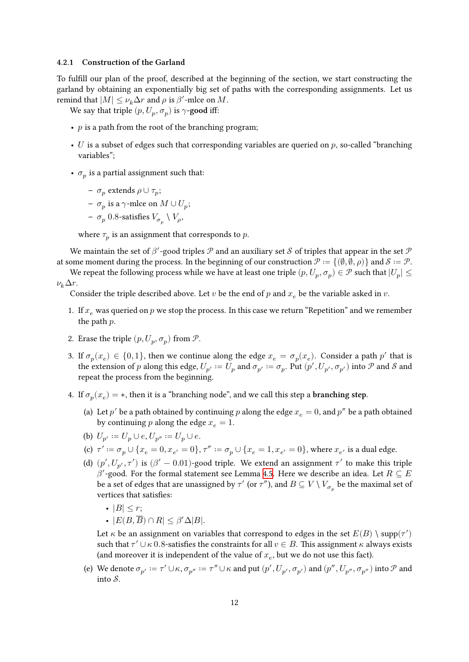#### <span id="page-11-0"></span>**4.2.1 Construction of the Garland**

To fulfill our plan of the proof, described at the beginning of the section, we start constructing the garland by obtaining an exponentially big set of paths with the corresponding assignments. Let us remind that  $|M| \leq \nu_k \Delta r$  and  $\rho$  is  $\beta'$ -mlce on  $M$ .

We say that triple  $(p, U_p, \sigma_p)$  is  $\gamma$ -good iff:

- $p$  is a path from the root of the branching program;
- U is a subset of edges such that corresponding variables are queried on  $p$ , so-called "branching" variables";
- $\sigma_p$  is a partial assignment such that:

- 
$$
\sigma_p
$$
 extends  $\rho \cup \tau_p$ ;

- **−**  $\sigma_p$  is a  $\gamma$ -mlce on  $M \cup U_p$ ;
- $\sigma_p$  0.8-satisfies  $V_{\sigma_p} \setminus V_\rho$ ,

where  $\tau_p$  is an assignment that corresponds to  $p$ .

We maintain the set of  $\beta'$ -good triples  $\mathcal P$  and an auxiliary set  $\mathcal S$  of triples that appear in the set  $\mathcal P$ at some moment during the process. In the beginning of our construction  $\mathcal{P} := \{(\emptyset, \emptyset, \rho)\}\$ and  $\mathcal{S} := \mathcal{P}$ .

We repeat the following process while we have at least one triple  $(p, U_p, \sigma_p) \in \mathcal{P}$  such that  $|U_p| \leq$  $\nu_k \Delta r$ .

Consider the triple described above. Let  $v$  be the end of  $p$  and  $x_e$  be the variable asked in  $v$ .

- 1. If  $x_e$  was queried on p we stop the process. In this case we return "Repetition" and we remember the path  $p$ .
- 2. Erase the triple  $(p, U_p, \sigma_p)$  from  $\mathcal{P}$ .
- 3. If  $\sigma_p(x_e) \in \{0, 1\}$ , then we continue along the edge  $x_e = \sigma_p(x_e)$ . Consider a path  $p'$  that is the extension of  $p$  along this edge,  $U_{p'}:=U_p$  and  $\sigma_{p'}:=\sigma_p.$  Put  $(p',U_{p'},\sigma_{p'})$  into  ${\mathcal P}$  and  ${\mathcal S}$  and repeat the process from the beginning.
- 4. If  $\sigma_p(x_e) = *$ , then it is a "branching node", and we call this step a **branching step**.
	- (a) Let  $p'$  be a path obtained by continuing  $p$  along the edge  $x_e = 0$ , and  $p''$  be a path obtained by continuing p along the edge  $x_e = 1$ .
	- (b)  $U_{p'} := U_p \cup e, U_{p''} := U_p \cup e.$
	- (c)  $\tau' := \sigma_p \cup \{x_e = 0, x_{e'} = 0\}, \tau'' := \sigma_p \cup \{x_e = 1, x_{e'} = 0\}$ , where  $x_{e'}$  is a dual edge.
	- (d)  $(p', U_{p'}, \tau')$  is  $(\beta' 0.01)$ -good triple. We extend an assignment  $\tau'$  to make this triple  $\beta'$ -good. For the formal statement see Lemma [4.5](#page-12-0). Here we describe an idea. Let  $R\subseteq E$ be a set of edges that are unassigned by  $\tau'$  (or  $\tau'$ ), and  $B\subseteq V\setminus V_{\sigma_p}$  be the maximal set of vertices that satisfies:
		- $|B| \leq r$ ;
		- $|E(B, \overline{B}) \cap R| < \beta' \Delta |B|$ .

Let  $\kappa$  be an assignment on variables that correspond to edges in the set  $E(B)\setminus \mathrm{supp}(\tau')$ such that  $\tau' \cup \kappa$  0.8-satisfies the constraints for all  $v \in B$ . This assignment  $\kappa$  always exists (and moreover it is independent of the value of  $x_e$ , but we do not use this fact).

(e) We denote  $\sigma_{p'} := \tau' \cup \kappa$ ,  $\sigma_{p''} := \tau'' \cup \kappa$  and put  $(p', U_{p'}, \sigma_{p'})$  and  $(p'', U_{p''}, \sigma_{p''})$  into  $\mathcal P$  and into  $S$ .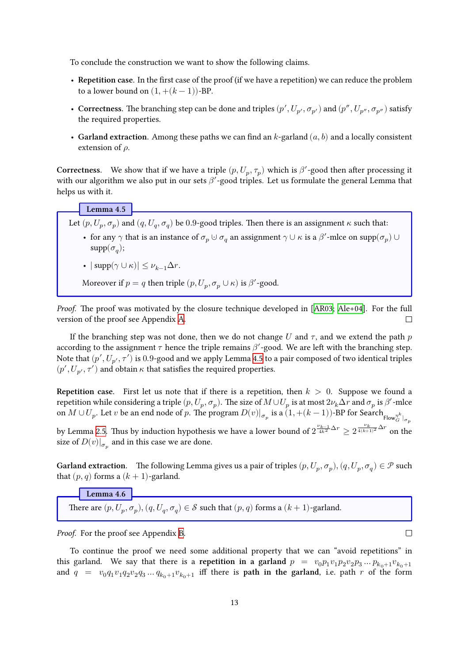To conclude the construction we want to show the following claims.

- **Repetition case.** In the first case of the proof (if we have a repetition) we can reduce the problem to a lower bound on  $(1, +(k-1))$ -BP.
- Correctness. The branching step can be done and triples  $(p', U_{p'}, \sigma_{p'})$  and  $(p'', U_{p''}, \sigma_{p''})$  satisfy the required properties.
- Garland extraction. Among these paths we can find an  $k$ -garland  $(a, b)$  and a locally consistent extension of  $\rho$ .

**Correctness.** We show that if we have a triple  $(p, U_p, \tau_p)$  which is  $\beta'$ -good then after processing it with our algorithm we also put in our sets  $\beta'$ -good triples. Let us formulate the general Lemma that helps us with it.

### **Lemma 4.5**

<span id="page-12-0"></span>Let  $(p, U_p, \sigma_p)$  and  $(q, U_q, \sigma_q)$  be 0.9-good triples. Then there is an assignment  $\kappa$  such that:

- for any  $\gamma$  that is an instance of  $\sigma_p \cup \sigma_q$  an assignment  $\gamma \cup \kappa$  is a  $\beta'$ -mlce on  $\text{supp}(\sigma_p) \cup$  $\mathrm{supp}(\sigma_q);$
- $|\text{supp}(\gamma \cup \kappa)| \leq \nu_{k-1}\Delta r$ .

Moreover if  $p = q$  then triple  $(p, U_p, \sigma_p \cup \kappa)$  is  $\beta'$ -good.

*Proof.* The proof was motivated by the closure technique developed in [\[AR03](#page-21-5); [Ale+04](#page-21-7)]. For the full version of the proof see Appendix [A.](#page-23-0)  $\Box$ 

If the branching step was not done, then we do not change U and  $\tau$ , and we extend the path p according to the assignment  $\tau$  hence the triple remains  $\beta'$ -good. We are left with the branching step. Note that  $(p', U_{p'}, \tau')$  is  $0.9$ -good and we apply Lemma [4.5](#page-12-0) to a pair composed of two identical triples  $(p', U_{p'}, \tau')$  and obtain  $\kappa$  that satisfies the required properties.

**Repetition case.** First let us note that if there is a repetition, then  $k > 0$ . Suppose we found a repetition while considering a triple  $(p, U_p, \sigma_p)$ . The size of  $M\cup U_p$  is at most  $2\nu_k\Delta r$  and  $\sigma_p$  is  $\beta'$ -mlce on  $M\cup U_p.$  Let  $v$  be an end node of  $p.$  The program  $D(v)|_{\sigma_p}$  is a  $(1,+(k-1))$ -BP for Search  $_{\mathsf{Flow}^{\eta^k}_G|_{\sigma_p}}$ 

by Lemma [2.5](#page-5-1). Thus by induction hypothesis we have a lower bound of  $2^{\frac{\nu_{k-1}}{4k^2}\Delta r}\geq 2^{\frac{\nu_k}{4(k+1)^2}\Delta r}$  on the size of  $D(v)|_{\sigma_p}$  and in this case we are done.

**Garland extraction.** The following Lemma gives us a pair of triples  $(p, U_p, \sigma_p), (q, U_p, \sigma_q) \in \mathcal{P}$  such that  $(p, q)$  forms a  $(k + 1)$ -garland.

**Lemma 4.6**

There are  $(p, U_p, \sigma_p), (q, U_q, \sigma_q) \in \mathcal{S}$  such that  $(p, q)$  forms a  $(k + 1)$ -garland.

*Proof.* For the proof see Appendix [B](#page--1-9).

To continue the proof we need some additional property that we can "avoid repetitions" in this garland. We say that there is a **repetition in a garland**  $p = v_0 p_1 v_1 p_2 v_2 p_3 ... p_{k_0+1} v_{k_0+1}$ and  $q = v_0 q_1 v_1 q_2 v_2 q_3 ... q_{k_0+1} v_{k_0+1}$  iff there is **path in the garland**, i.e. path r of the form

 $\Box$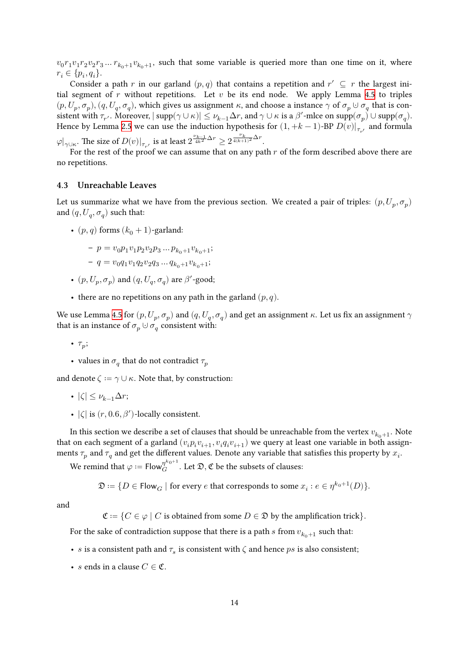$v_0r_1v_1r_2v_2r_3...r_{k_0+1}v_{k_0+1}$ , such that some variable is queried more than one time on it, where  $r_i \in \{p_i, q_i\}.$ 

Consider a path r in our garland  $(p, q)$  that contains a repetition and  $r' \subseteq r$  the largest initial segment of  $r$  without repetitions. Let  $v$  be its end node. We apply Lemma [4.5](#page-12-0) to triples  $(p, U_p, \sigma_p), (q, U_q, \sigma_q)$ , which gives us assignment  $\kappa$ , and choose a instance  $\gamma$  of  $\sigma_p \cup \sigma_q$  that is consistent with  $\tau_{r'}$ . Moreover,  $|\text{ supp}(\gamma \cup \kappa)| \leq \nu_{k-1}\Delta r$ , and  $\gamma \cup \kappa$  is a  $\beta'$ -mlce on  $\text{supp}(\sigma_p) \cup \text{supp}(\sigma_q)$ . Hence by Lemma [2.5](#page-5-1) we can use the induction hypothesis for  $(1, +k - 1)$ -BP  $D(v)|_{\tau_{r'}}$  and formula  $\varphi|_{\gamma \cup \kappa}$ . The size of  $D(v)|_{\tau_{r'}}$  is at least  $2^{\frac{\nu_{k-1}}{4k^2}\Delta r} \geq 2^{\frac{\nu_{k}}{4(k+1)^2}\Delta r}$ .

For the rest of the proof we can assume that on any path  $r$  of the form described above there are no repetitions.

### <span id="page-13-0"></span>**4.3 Unreachable Leaves**

Let us summarize what we have from the previous section. We created a pair of triples:  $(p, U_p, \sigma_p)$ and  $(q, U_q, \sigma_q)$  such that:

•  $(p, q)$  forms  $(k_0 + 1)$ -garland:

$$
\hskip-2cm - p = v_0 p_1 v_1 p_2 v_2 p_3 \dots p_{k_0 + 1} v_{k_0 + 1};
$$

$$
- q = v_0 q_1 v_1 q_2 v_2 q_3 \dots q_{k_0+1} v_{k_0+1};
$$

- $(p, U_p, \sigma_p)$  and  $(q, U_q, \sigma_q)$  are  $\beta'$  -good;
- there are no repetitions on any path in the garland  $(p, q)$ .

We use Lemma [4.5](#page-12-0) for  $(p, U_p, \sigma_p)$  and  $(q, U_q, \sigma_q)$  and get an assignment  $\kappa$ . Let us fix an assignment  $\gamma$ that is an instance of  $\sigma_p \cup \sigma_q$  consistent with:

•  $\tau_p$ ;

• values in  $\sigma_q$  that do not contradict  $\tau_p$ 

and denote  $\zeta := \gamma \cup \kappa$ . Note that, by construction:

- $|\zeta| \leq \nu_{k-1} \Delta r$ ;
- $|\zeta|$  is  $(r, 0.6, \beta')$ -locally consistent.

In this section we describe a set of clauses that should be unreachable from the vertex  $v_{k_0+1}$ . Note that on each segment of a garland  $(v_i p_i v_{i+1}, v_i q_i v_{i+1})$  we query at least one variable in both assignments  $\tau_p$  and  $\tau_q$  and get the different values. Denote any variable that satisfies this property by  $x_i$ .

We remind that  $\varphi \coloneqq \mathsf{Flow}_G^{\eta^{k_0+1}}.$  Let  $\mathfrak{D}, \mathfrak{C}$  be the subsets of clauses:

$$
\mathfrak{D} \coloneqq \{D \in \mathsf{Flow}_G \mid \text{for every } e \text{ that corresponds to some } x_i : e \in \eta^{k_0+1}(D)\}.
$$

and

 $\mathfrak{C} = \{ C \in \varphi \mid C \text{ is obtained from some } D \in \mathfrak{D} \text{ by the amplification trick} \}.$ 

For the sake of contradiction suppose that there is a path s from  $v_{k_0+1}$  such that:

- $s$  is a consistent path and  $\tau_s$  is consistent with  $\zeta$  and hence  $ps$  is also consistent;
- *s* ends in a clause  $C \in \mathfrak{C}$ .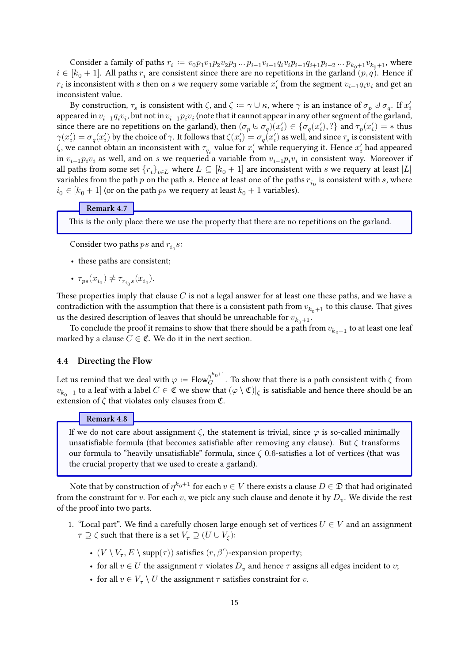Consider a family of paths  $r_i := v_0 p_1 v_1 p_2 v_2 p_3 \dots p_{i-1} v_{i-1} q_i v_i p_{i+1} q_{i+1} p_{i+2} \dots p_{k_0+1} v_{k_0+1}$ , where  $i \in [k_0 + 1]$ . All paths  $r_i$  are consistent since there are no repetitions in the garland  $(p, q)$ . Hence if  $r_i$  is inconsistent with  $s$  then on  $s$  we requery some variable  $x_i^\prime$  from the segment  $v_{i-1}q_iv_i$  and get an inconsistent value.

By construction,  $\tau_s$  is consistent with  $\zeta$ , and  $\zeta := \gamma \cup \kappa$ , where  $\gamma$  is an instance of  $\sigma_p \cup \sigma_q$ . If  $x'_i$ appeared in  $v_{i-1}q_iv_i$ , but not in  $v_{i-1}p_iv_i$  (note that it cannot appear in any other segment of the garland, since there are no repetitions on the garland), then  $(\sigma_p \cup \sigma_q)(x'_i) \in {\sigma_q(x'_i), ?}$  and  $\tau_p(x'_i) = *$  thus  $\gamma(x'_i)=\sigma_q(x'_i)$  by the choice of  $\gamma.$  It follows that  $\zeta(x'_i)=\sigma_q(x'_i)$  as well, and since  $\tau_s$  is consistent with  $\zeta$ , we cannot obtain an inconsistent with  $\tau_{q_i}$  value for  $x'_i$  while requerying it. Hence  $x'_i$  had appeared in  $v_{i-1}p_iv_i$  as well, and on s we requeried a variable from  $v_{i-1}p_iv_i$  in consistent way. Moreover if all paths from some set  ${r_i}_{i \in L}$  where  $L \subseteq [k_0 + 1]$  are inconsistent with s we requery at least  $|L|$ variables from the path  $p$  on the path  $s$ . Hence at least one of the paths  $r_{i_0}$  is consistent with  $s$ , where  $i_0 \in [k_0 + 1]$  (or on the path *ps* we requery at least  $k_0 + 1$  variables).

### **Remark 4.7**

This is the only place there we use the property that there are no repetitions on the garland.

Consider two paths  $ps$  and  $r_{i_0}s\!$ 

- these paths are consistent;
- $\tau_{ps}(x_{i_0}) \neq \tau_{r_{i_0}s}(x_{i_0}).$

These properties imply that clause  $C$  is not a legal answer for at least one these paths, and we have a contradiction with the assumption that there is a consistent path from  $v_{k_0+1}$  to this clause. That gives us the desired description of leaves that should be unreachable for  $v_{k_0+1}$ .

To conclude the proof it remains to show that there should be a path from  $v_{k_0+1}$  to at least one leaf marked by a clause  $C \in \mathfrak{C}$ . We do it in the next section.

### <span id="page-14-0"></span>**4.4 Directing the Flow**

Let us remind that we deal with  $\varphi:=\mathsf{Flow}_G^{\eta^{k_0+1}}.$  To show that there is a path consistent with  $\zeta$  from  $v_{k_0+1}$  to a leaf with a label  $C\in\mathfrak C$  we show that  $(\varphi\setminus\mathfrak C)|_\zeta$  is satisfiable and hence there should be an extension of  $\zeta$  that violates only clauses from  $\mathfrak{C}$ .

### **Remark 4.8**

If we do not care about assignment  $\zeta$ , the statement is trivial, since  $\varphi$  is so-called minimally unsatisfiable formula (that becomes satisfiable after removing any clause). But  $\zeta$  transforms our formula to "heavily unsatisfiable" formula, since  $\zeta$  0.6-satisfies a lot of vertices (that was the crucial property that we used to create a garland).

Note that by construction of  $\eta^{k_0+1}$  for each  $v\in V$  there exists a clause  $D\in\mathfrak{D}$  that had originated from the constraint for  $v$ . For each  $v$ , we pick any such clause and denote it by  $D_v$ . We divide the rest of the proof into two parts.

- 1. "Local part". We find a carefully chosen large enough set of vertices  $U \in V$  and an assignment  $\tau \supseteq \zeta$  such that there is a set  $V_\tau \supseteq (U \cup V_\zeta)$ :
	- $(V\setminus V_\tau, E\setminus \mathrm{supp}(\tau))$  satisfies  $(r,\beta')$  -expansion property;
	- for all  $v \in U$  the assignment  $\tau$  violates  $D_v$  and hence  $\tau$  assigns all edges incident to  $v;$
	- for all  $v \in V_{\tau} \setminus U$  the assignment  $\tau$  satisfies constraint for  $v.$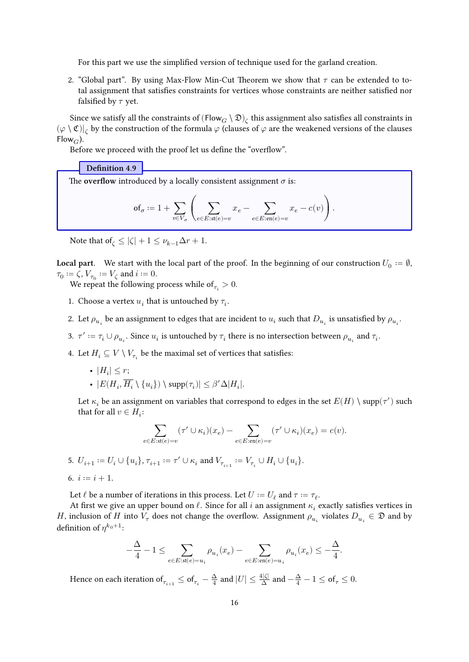For this part we use the simplified version of technique used for the garland creation.

2. "Global part". By using Max-Flow Min-Cut Theorem we show that  $\tau$  can be extended to total assignment that satisfies constraints for vertices whose constraints are neither satisfied nor falsified by  $\tau$  yet.

Since we satisfy all the constraints of  $(\mathsf{Flow}_G \setminus \mathfrak{D})_\zeta$  this assignment also satisfies all constraints in  $(\varphi \setminus \mathfrak{C})|_{\zeta}$  by the construction of the formula  $\varphi$  (clauses of  $\varphi$  are the weakened versions of the clauses  $Flow_G$ ).

Before we proceed with the proof let us define the "overflow".

### **Definition 4.9**

The **overflow** introduced by a locally consistent assignment  $\sigma$  is:

$$
\mathsf{of}_\sigma \coloneqq 1 + \sum_{v \in V_\sigma} \left( \sum_{e \in E: \mathsf{st}(e) = v} x_e - \sum_{e \in E: \mathsf{en}(e) = v} x_e - c(v) \right).
$$

Note that of  $\zeta \le |\zeta| + 1 \le \nu_{k-1}\Delta r + 1$ .

**Local part.** We start with the local part of the proof. In the beginning of our construction  $U_0 := \emptyset$ ,  $\tau_0 \coloneqq \zeta$ ,  $V_{\tau_0} \coloneqq V_{\zeta}$  and  $i \coloneqq 0$ .

We repeat the following process while of  $_{\tau_i} > 0.$ 

- 1. Choose a vertex  $u_i$  that is untouched by  $\tau_i.$
- 2. Let  $\rho_{u_i}$  be an assignment to edges that are incident to  $u_i$  such that  $D_{u_i}$  is unsatisfied by  $\rho_{u_i}.$
- 3.  $\tau' \coloneqq \tau_i \cup \rho_{u_i}$ . Since  $u_i$  is untouched by  $\tau_i$  there is no intersection between  $\rho_{u_i}$  and  $\tau_i$ .
- 4. Let  $H_i \subseteq V \setminus V_{\tau_i}$  be the maximal set of vertices that satisfies:
	- $|H_i| \leq r;$ +  $|E(H_i, \overline{H_i} \setminus \{u_i\}) \setminus \mathrm{supp}(\tau_i)| \leq \beta' \Delta |H_i|.$

Let  $\kappa_i$  be an assignment on variables that correspond to edges in the set  $E(H)\setminus \mathrm{supp}(\tau')$  such that for all  $v \in H_i$ :

$$
\sum_{e \in E: \mathsf{st}(e) = v} (\tau' \cup \kappa_i) (x_e) - \sum_{e \in E: \mathsf{en}(e) = v} (\tau' \cup \kappa_i) (x_e) = c(v).
$$

$$
\text{5. } U_{i+1} \coloneqq U_i \cup \{u_i\}, \, \tau_{i+1} \coloneqq \tau' \cup \kappa_i \text{ and } V_{\tau_{i+1}} \coloneqq V_{\tau_i} \cup H_i \cup \{u_i\}.
$$

6. 
$$
i := i + 1
$$
.

Let  $\ell$  be a number of iterations in this process. Let  $U\coloneqq U_\ell$  and  $\tau\coloneqq\tau_\ell.$ 

At first we give an upper bound on  $\ell$ . Since for all  $i$  an assignment  $\kappa_i$  exactly satisfies vertices in H, inclusion of H into  $V_\tau$  does not change the overflow. Assignment  $\rho_{u_i}$  violates  $D_{u_i} \in \mathfrak{D}$  and by definition of  $\eta^{k_0+1}$ :

$$
-\frac{\Delta}{4}-1\leq \sum_{e\in E: \text{st}(e)=u_i}\rho_{u_i}(x_e)-\sum_{e\in E: \text{en}(e)=u_i}\rho_{u_i}(x_e)\leq -\frac{\Delta}{4}.
$$

Hence on each iteration of  $_{\tau_{i+1}} \leq$  of  $_{\tau_i} - \frac{\Delta}{4}$  $\frac{\Delta}{4}$  and  $|U| \leq \frac{4|\zeta|}{\Delta}$  and  $-\frac{\Delta}{4} - 1 \leq$  of  $_{\tau} \leq 0$ .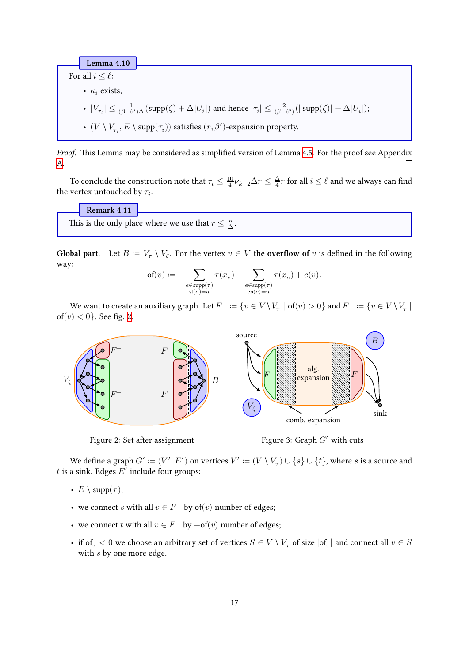**Lemma 4.10**

<span id="page-16-1"></span>For all  $i \leq \ell$ :

•  $\kappa_i$  exists;

$$
\text{ }\text{ }\text{ }|V_{\tau_i}|\leq \textstyle\frac{1}{(\beta-\beta')\Delta}(\text{supp}(\zeta)+\Delta|U_i|) \text{ and hence } |\tau_i|\leq \textstyle\frac{2}{(\beta-\beta')}(|\text{supp}(\zeta)|+\Delta|U_i|);
$$

-  $(V\setminus V_{\tau_i},E\setminus \mathrm{supp}(\tau_i))$  satisfies  $(r,\beta')$  -expansion property.

*Proof.* This Lemma may be considered as simplified version of Lemma [4.5.](#page-12-0) For the proof see Appendix [A.](#page-23-0)  $\Box$ 

To conclude the construction note that  $\tau_i \leq \frac{10}{4}$  $\frac{10}{4}\nu_{k-2}\Delta r\leq \frac{\Delta}{4}r$  for all  $i\leq \ell$  and we always can find the vertex untouched by  $\tau_i$ .

### **Remark 4.11**

This is the only place where we use that  $r \leq \frac{n}{\Delta}$ .

Global part. Let  $B := V_\tau \setminus V_\zeta$ . For the vertex  $v \in V$  the **overflow of** v is defined in the following way:

$$
\mathsf{of}(v) := -\sum_{\substack{e \in \mathsf{supp}(\tau) \\ \mathsf{st}(e) = u}} \tau(x_e) + \sum_{\substack{e \in \mathsf{supp}(\tau) \\ \mathsf{en}(e) = u}} \tau(x_e) + c(v).
$$

We want to create an auxiliary graph. Let  $F^+:=\{v\in V\setminus V_\tau\mid \text{of}(v)>0\}$  and  $F^-:=\{v\in V\setminus V_\tau\mid \text{of}(v)>0\}$ of(*v*)  $<$  0}. See fig. [2.](#page-16-0)

<span id="page-16-0"></span>

Figure 2: Set after assignment

Figure 3: Graph  $G'$  with cuts

We define a graph  $G' \coloneqq (V', E')$  on vertices  $V' \coloneqq (V \setminus V_\tau) \cup \{s\} \cup \{t\}$ , where  $s$  is a source and t is a sink. Edges  $E'$  include four groups:

- $E \setminus \text{supp}(\tau);$
- we connect *s* with all  $v \in F^+$  by of(*v*) number of edges;
- we connect t with all  $v \in F^-$  by  $-\text{of}(v)$  number of edges;
- if of  $\tau$   $<$  0 we choose an arbitrary set of vertices  $S \in V \setminus V_\tau$  of size  $|\text{of}_\tau|$  and connect all  $v \in S$ with  $s$  by one more edge.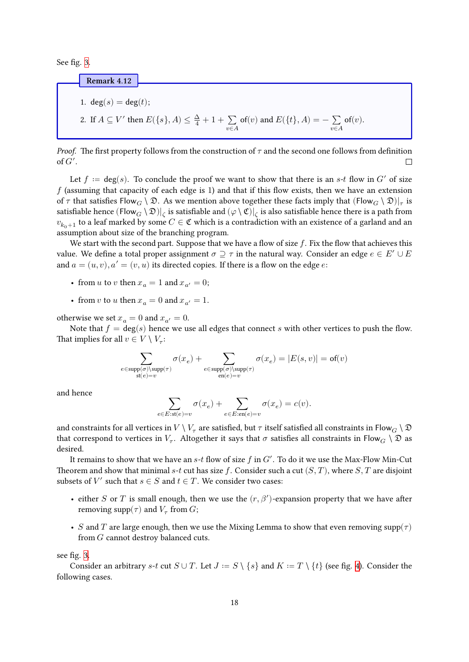See fig. [3.](#page-16-0)

### **Remark 4.12**

<span id="page-17-0"></span>\n- 1. 
$$
\deg(s) = \deg(t);
$$
\n- 2. If  $A \subseteq V'$  then  $E(\{s\}, A) \leq \frac{\Delta}{4} + 1 + \sum_{v \in A} \text{of}(v)$  and  $E(\{t\}, A) = -\sum_{v \in A} \text{of}(v)$ .
\n

*Proof.* The first property follows from the construction of  $\tau$  and the second one follows from definition of  $G'$ .  $\Box$ 

Let  $f := \deg(s)$ . To conclude the proof we want to show that there is an s-t flow in G' of size  $f$  (assuming that capacity of each edge is 1) and that if this flow exists, then we have an extension of  $\tau$  that satisfies Flow $_G\setminus\mathfrak{D}$ . As we mention above together these facts imply that  $(\mathsf{Flow}_G\setminus\mathfrak{D})|_\tau$  is satisfiable hence  $(\mathsf{Flow}_G\setminus\mathfrak{D})|_\zeta$  is satisfiable and  $(\varphi\setminus\mathfrak{C})|_\zeta$  is also satisfiable hence there is a path from  $v_{k_0+1}$  to a leaf marked by some  $C \in \mathfrak{C}$  which is a contradiction with an existence of a garland and an assumption about size of the branching program.

We start with the second part. Suppose that we have a flow of size  $f$ . Fix the flow that achieves this value. We define a total proper assignment  $\sigma \supseteq \tau$  in the natural way. Consider an edge  $e \in E' \cup E$ and  $a = (u, v), a' = (v, u)$  its directed copies. If there is a flow on the edge e:

- from u to v then  $x_a = 1$  and  $x_{a'} = 0$ ;
- from v to u then  $x_a = 0$  and  $x_{a'} = 1$ .

otherwise we set  $x_a = 0$  and  $x_{a'} = 0$ .

Note that  $f = \deg(s)$  hence we use all edges that connect s with other vertices to push the flow. That implies for all  $v \in V \setminus V_\tau$ :

$$
\sum_{\substack{e \in \text{supp}(\sigma) \backslash \text{supp}(\tau) \\ \text{st}(e) = v}} \sigma(x_e) + \sum_{\substack{e \in \text{supp}(\sigma) \backslash \text{supp}(\tau) \\ \text{en}(e) = v}} \sigma(x_e) = |E(s,v)| = \textsf{of}(v)
$$

and hence

$$
\sum_{e \in E: \mathsf{st}(e) = v} \sigma(x_e) + \sum_{e \in E: \mathsf{en}(e) = v} \sigma(x_e) = c(v).
$$

and constraints for all vertices in  $V\setminus V_\tau$  are satisfied, but  $\tau$  itself satisfied all constraints in Flow $_G\setminus\mathfrak{D}$ that correspond to vertices in  $V_\tau$ . Altogether it says that  $\sigma$  satisfies all constraints in Flow  $_G\setminus\mathfrak{D}$  as desired.

It remains to show that we have an  $s$ - $t$  flow of size  $f$  in  $G'$ . To do it we use the Max-Flow Min-Cut Theorem and show that minimal s-t cut has size f. Consider such a cut  $(S, T)$ , where  $S, T$  are disjoint subsets of  $V'$  such that  $s \in S$  and  $t \in T$ . We consider two cases:

- either S or T is small enough, then we use the  $(r, \beta')$ -expansion property that we have after removing  $\mathrm{supp}(\tau)$  and  $V_{\tau}$  from  $G;$
- S and T are large enough, then we use the Mixing Lemma to show that even removing supp( $\tau$ ) from  $G$  cannot destroy balanced cuts.

see fig. [3](#page-16-0).

Consider an arbitrary s-t cut  $S \cup T$ . Let  $J := S \setminus \{s\}$  and  $K := T \setminus \{t\}$  (see fig. [4](#page-18-0)). Consider the following cases.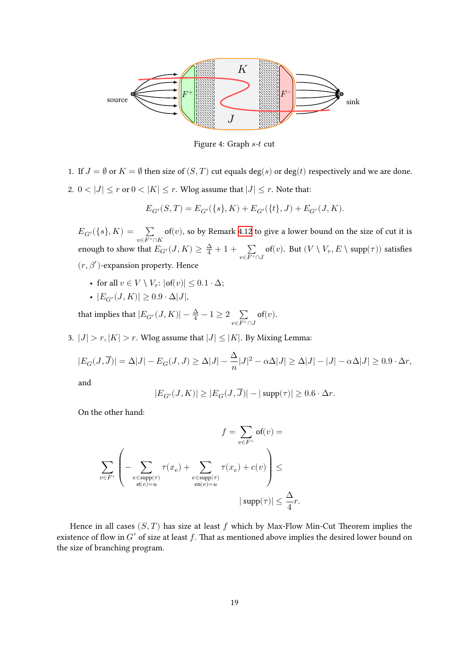<span id="page-18-0"></span>

Figure 4: Graph  $s$ - $t$  cut

- 1. If  $J = \emptyset$  or  $K = \emptyset$  then size of  $(S, T)$  cut equals  $\deg(s)$  or  $\deg(t)$  respectively and we are done.
- 2.  $0<|J|\leq r$  or  $0<|K|\leq r.$  Wlog assume that  $|J|\leq r.$  Note that:

$$
E_{G'}(S,T) = E_{G'}(\{s\},K) + E_{G'}(\{t\},J) + E_{G'}(J,K).
$$

 $E_{G'}(\{s\}, K) = \sum_{v \in F^+ \cap K}$  $of(v)$ , so by Remark [4.12](#page-17-0) to give a lower bound on the size of cut it is enough to show that  $E_{G'}(J,K) \geq \frac{\Delta}{4} + 1 + \sum_{v \in F^+ \cap J}$  of $(v)$ . But  $(V \setminus V_\tau, E \setminus {\rm supp}(\tau))$  satisfies  $(r, \beta')$ -expansion property. Hence

- for all  $v \in V \setminus V_\tau : |\text{of}(v)| \leq 0.1 \cdot \Delta;$
- $|E_{G'}(J,K)| \geq 0.9 \cdot \Delta |J|,$

that implies that  $|E_{G'}(J,K)| - \frac{\Delta}{4} - 1 \geq 2 \sum\limits_{v \in F^+ \cap J}$  $of(v).$ 

3.  $|J| > r$ ,  $|K| > r$ . Wlog assume that  $|J| \leq |K|$ . By Mixing Lemma:

$$
|E_G(J,\overline{J})| = \Delta|J| - E_G(J,J) \ge \Delta|J| - \frac{\Delta}{n}|J|^2 - \alpha \Delta|J| \ge \Delta|J| - |J| - \alpha \Delta|J| \ge 0.9 \cdot \Delta r,
$$

and

$$
|E_{G'}(J,K)|\geq |E_G(J,\overline{J})|-|\operatorname{supp}(\tau)|\geq 0.6\cdot \Delta r.
$$

On the other hand:

$$
f = \sum_{v \in F^+} \textsf{of}(v) =
$$
  

$$
\sum_{v \in F^+} \left( - \sum_{\substack{e \in \text{supp}(\tau) \\ \textsf{st}(e) = u}} \tau(x_e) + \sum_{\substack{e \in \text{supp}(\tau) \\ \textsf{en}(e) = u}} \tau(x_e) + c(v) \right) \le \sum_{\substack{e \in F^+}} \tau(x_e) + c(v) \le \frac{\Delta}{4}r.
$$

Hence in all cases  $(S, T)$  has size at least f which by Max-Flow Min-Cut Theorem implies the existence of flow in  $G'$  of size at least  $f$ . That as mentioned above implies the desired lower bound on the size of branching program.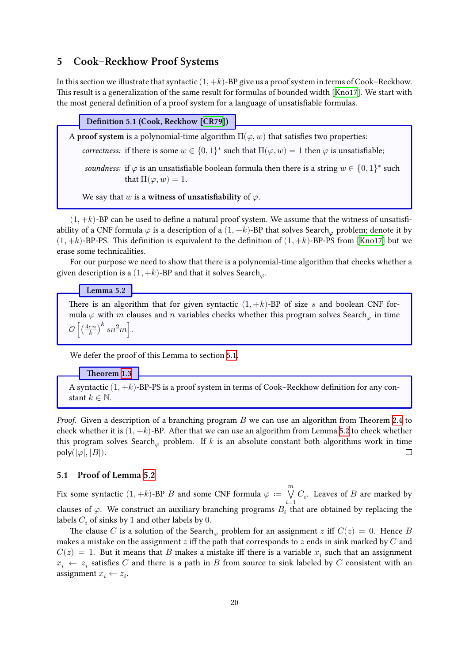### <span id="page-19-0"></span>**5 Cook–Reckhow Proof Systems**

In this section we illustrate that syntactic  $(1, +k)$ -BP give us a proof system in terms of Cook–Reckhow. This result is a generalization of the same result for formulas of bounded width [\[Kno17\]](#page-22-10). We start with the most general definition of a proof system for a language of unsatisfiable formulas.

**Definition 5.1 (Cook, Reckhow[[CR79\]](#page-21-6))**

A **proof system** is a polynomial-time algorithm  $\Pi(\varphi, w)$  that satisfies two properties:

*correctness:* if there is some  $w \in \{0,1\}^*$  such that  $\Pi(\varphi, w) = 1$  then  $\varphi$  is unsatisfiable;

*soundness:* if  $\varphi$  is an unsatisfiable boolean formula then there is a string  $w \in \{0,1\}^*$  such that  $\Pi(\varphi, w) = 1$ .

We say that  $w$  is a **witness of unsatisfiability** of  $\varphi$ .

 $(1, +k)$ -BP can be used to define a natural proof system. We assume that the witness of unsatisfiability of a CNF formula  $\varphi$  is a description of a  $(1, +k)$ -BP that solves Search<sub> $\varphi$ </sub> problem; denote it by  $(1, +k)$  $(1, +k)$  $(1, +k)$ -BP-PS. This definition is equivalent to the definition of  $(1, +k)$ -BP-PS from [[Kno17](#page-22-10)] but we erase some technicalities.

For our purpose we need to show that there is a polynomial-time algorithm that checks whether a given description is a  $(1, +k)$ -BP and that it solves Search.

**Lemma 5.2**

<span id="page-19-2"></span>There is an algorithm that for given syntactic  $(1, +k)$ -BP of size *s* and boolean CNF formula  $\varphi$  with m clauses and n variables checks whether this program solves Search<sub> $\varphi$ </sub> in time  $\mathcal{O}\left[\left(\frac{4en}{k}\right)^k sn^2m\right]$ .

We defer the proof of this Lemma to section [5.1](#page-19-1).

### **Theorem [1.3](#page-2-1)**

A syntactic  $(1, +k)$ -BP-PS is a proof system in terms of Cook–Reckhow definition for any constant  $k \in \mathbb{N}$ .

*Proof.* Given a description of a branching program B we can use an algorithm from Theorem [2.4](#page-5-2) to check whether it is  $(1, +k)$ -BP. After that we can use an algorithm from Lemma [5.2](#page-19-2) to check whether this program solves Search<sub> $\varphi$ </sub> problem. If  $k$  is an absolute constant both algorithms work in time poly( $|\varphi|, |B|$ ).  $\Box$ 

### <span id="page-19-1"></span>**5.1 Proof of Lemma [5.2](#page-19-2)**

Fix some syntactic  $(1, +k)$ -BP *B* and some CNF formula  $\varphi$  :=  $\dot{}$  $\bigvee C_i$ . Leaves of B are marked by clauses of  $\varphi$ . We construct an auxiliary branching programs  $B_i^{\quad i=1 \quad \, }$  that are obtained by replacing the labels  $C_i$  of sinks by 1 and other labels by 0.

The clause C is a solution of the Search problem for an assignment z iff  $C(z) = 0$ . Hence B makes a mistake on the assignment  $z$  iff the path that corresponds to  $z$  ends in sink marked by  $C$  and  $C(z) = 1$ . But it means that B makes a mistake iff there is a variable  $x_i$  such that an assignment  $x_i \leftarrow z_i$  satisfies C and there is a path in B from source to sink labeled by C consistent with an assignment  $x_i \leftarrow z_i$ .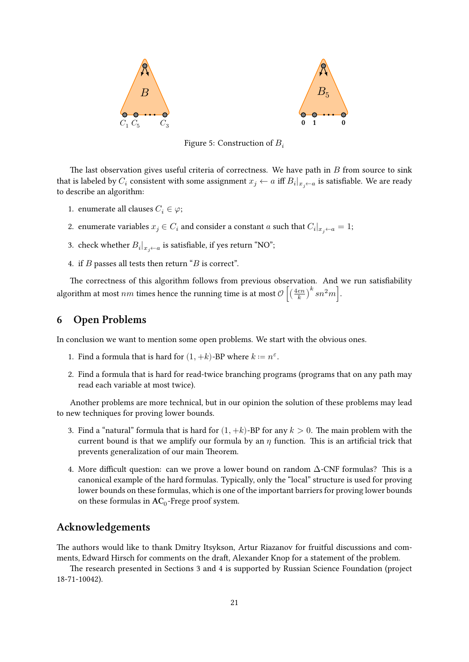

Figure 5: Construction of  $B_i$ 

The last observation gives useful criteria of correctness. We have path in  $B$  from source to sink that is labeled by  $C_i$  consistent with some assignment  $x_j \leftarrow a$  iff  $B_i|_{x_j \leftarrow a}$  is satisfiable. We are ready to describe an algorithm:

- 1. enumerate all clauses  $C_i \in \varphi$ ;
- 2. enumerate variables  $x_j \in C_i$  and consider a constant  $a$  such that  $C_i|_{x_j \leftarrow a} = 1$ ;
- 3. check whether  $B_i|_{x_j \leftarrow a}$  is satisfiable, if yes return "NO";
- 4. if  $B$  passes all tests then return " $B$  is correct".

The correctness of this algorithm follows from previous observation. And we run satisfiability algorithm at most  $nm$  times hence the running time is at most  $\mathcal{O}\left[\left(\frac{4en}{k}\right)^k sn^2m\right]$ .

# **6 Open Problems**

In conclusion we want to mention some open problems. We start with the obvious ones.

- 1. Find a formula that is hard for  $(1, +k)$ -BP where  $k := n^{\varepsilon}$ .
- 2. Find a formula that is hard for read-twice branching programs (programs that on any path may read each variable at most twice).

Another problems are more technical, but in our opinion the solution of these problems may lead to new techniques for proving lower bounds.

- 3. Find a "natural" formula that is hard for  $(1, +k)$ -BP for any  $k > 0$ . The main problem with the current bound is that we amplify our formula by an  $\eta$  function. This is an artificial trick that prevents generalization of our main Theorem.
- 4. More difficult question: can we prove a lower bound on random  $\Delta$ -CNF formulas? This is a canonical example of the hard formulas. Typically, only the "local" structure is used for proving lower bounds on these formulas, which is one of the important barriers for proving lower bounds on these formulas in  $AC_0$ -Frege proof system.

# **Acknowledgements**

The authors would like to thank Dmitry Itsykson, Artur Riazanov for fruitful discussions and comments, Edward Hirsch for comments on the draft, Alexander Knop for a statement of the problem.

The research presented in Sections 3 and 4 is supported by Russian Science Foundation (project 18-71-10042).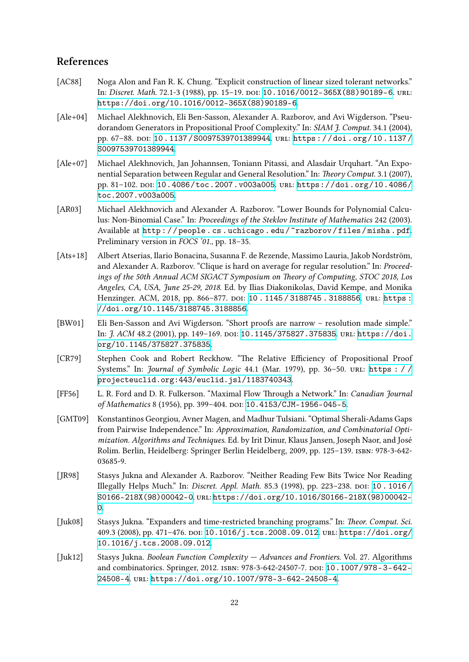# **References**

- <span id="page-21-10"></span>[AC88] Noga Alon and Fan R. K. Chung. "Explicit construction of linear sized tolerant networks." In: *Discret. Math.* 72.1-3 (1988), pp. 15-19. DOI: [10.1016/0012-365X\(88\)90189-6](https://doi.org/10.1016/0012-365X(88)90189-6). URL: [https://doi.org/10.1016/0012-365X\(88\)90189-6](https://doi.org/10.1016/0012-365X(88)90189-6).
- <span id="page-21-7"></span>[Ale+04] Michael Alekhnovich, Eli Ben-Sasson, Alexander A. Razborov, and Avi Wigderson. "Pseudorandom Generators in Propositional Proof Complexity." In: *SIAM J. Comput.* 34.1 (2004), pp. 67–88. doi: [10 . 1137 / S0097539701389944](https://doi.org/10.1137/S0097539701389944). uRl: [https : / / doi . org / 10 . 1137 /](https://doi.org/10.1137/S0097539701389944) [S0097539701389944](https://doi.org/10.1137/S0097539701389944).
- <span id="page-21-8"></span>[Ale+07] Michael Alekhnovich, Jan Johannsen, Toniann Pitassi, and Alasdair Urquhart. "An Exponential Separation between Regular and General Resolution." In: *Theory Comput.* 3.1 (2007), pp. 81–102. doi: [10.4086/toc.2007.v003a005](https://doi.org/10.4086/toc.2007.v003a005). uRl: [https://doi.org/10.4086/](https://doi.org/10.4086/toc.2007.v003a005) [toc.2007.v003a005](https://doi.org/10.4086/toc.2007.v003a005).
- <span id="page-21-5"></span>[AR03] Michael Alekhnovich and Alexander A. Razborov. "Lower Bounds for Polynomial Calculus: Non-Binomial Case." In: *Proceedings of the Steklov Institute of Mathematics* 242 (2003). Available at http://people.cs.uchicago.edu/~razborov/files/misha.pdf. Preliminary version in *FOCS '01*., pp. 18–35.
- <span id="page-21-3"></span>[Ats+18] Albert Atserias, Ilario Bonacina, Susanna F. de Rezende, Massimo Lauria, Jakob Nordström, and Alexander A. Razborov. "Clique is hard on average for regular resolution." In: *Proceedings of the 50th Annual ACM SIGACT Symposium on Theory of Computing, STOC 2018, Los Angeles, CA, USA, June 25-29, 2018*. Ed. by Ilias Diakonikolas, David Kempe, and Monika Henzinger. ACM, 2018, pp. 866-877. poi: 10.1145/3188745.3188856. uRL: https: [//doi.org/10.1145/3188745.3188856](https://doi.org/10.1145/3188745.3188856).
- <span id="page-21-4"></span>[BW01] Eli Ben-Sasson and Avi Wigderson. "Short proofs are narrow – resolution made simple." In: *J. ACM* 48.2 (2001), pp. 149-169. poi: [10.1145/375827.375835](https://doi.org/10.1145/375827.375835). uRL: [https://doi.](https://doi.org/10.1145/375827.375835) [org/10.1145/375827.375835](https://doi.org/10.1145/375827.375835).
- <span id="page-21-6"></span>[CR79] Stephen Cook and Robert Reckhow. "The Relative Efficiency of Propositional Proof Systems." In: *Journal of Symbolic Logic* 44.1 (Mar. 1979), pp. 36–50. uRl: [https : / /](https://projecteuclid.org:443/euclid.jsl/1183740343) [projecteuclid.org:443/euclid.jsl/1183740343](https://projecteuclid.org:443/euclid.jsl/1183740343).
- <span id="page-21-9"></span>[FF56] L. R. Ford and D. R. Fulkerson. "Maximal Flow Through a Network." In: *Canadian Journal* of Mathematics 8 (1956), pp. 399-404. DOI: [10.4153/CJM-1956-045-5](https://doi.org/10.4153/CJM-1956-045-5).
- <span id="page-21-11"></span>[GMT09] Konstantinos Georgiou, Avner Magen, and Madhur Tulsiani. "Optimal Sherali-Adams Gaps from Pairwise Independence." In: *Approximation, Randomization, and Combinatorial Optimization. Algorithms and Techniques*. Ed. by Irit Dinur, Klaus Jansen, Joseph Naor, and José Rolim. Berlin, Heidelberg: Springer Berlin Heidelberg, 2009, pp. 125–139. isbn: 978-3-642- 03685-9.
- <span id="page-21-0"></span>[JR98] Stasys Jukna and Alexander A. Razborov. "Neither Reading Few Bits Twice Nor Reading Illegally Helps Much." In: *Discret. Appl. Math.* 85.3 (1998), pp. 223-238. poi: 10.1016/ [S0166-218X\(98\)00042-0](https://doi.org/10.1016/S0166-218X(98)00042-0). uRl: [https://doi.org/10.1016/S0166-218X\(98\)00042-](https://doi.org/10.1016/S0166-218X(98)00042-0) [0](https://doi.org/10.1016/S0166-218X(98)00042-0).
- <span id="page-21-1"></span>[Juk08] Stasys Jukna. "Expanders and time-restricted branching programs." In: *Theor. Comput. Sci.* 409.3 (2008), pp. 471–476. doi: [10.1016/j.tcs.2008.09.012](https://doi.org/10.1016/j.tcs.2008.09.012). uRl: [https://doi.org/](https://doi.org/10.1016/j.tcs.2008.09.012) [10.1016/j.tcs.2008.09.012](https://doi.org/10.1016/j.tcs.2008.09.012).
- <span id="page-21-2"></span>[Juk12] Stasys Jukna. *Boolean Function Complexity — Advances and Frontiers*. Vol. 27. Algorithms and combinatorics. Springer, 2012. isbn: 978-3-642-24507-7. doi: [10.1007/978-3-642-](https://doi.org/10.1007/978-3-642-24508-4) [24508-4](https://doi.org/10.1007/978-3-642-24508-4). uRl: <https://doi.org/10.1007/978-3-642-24508-4>.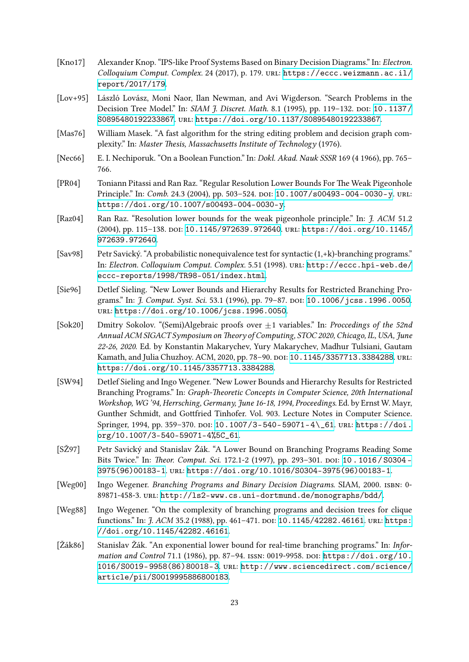- <span id="page-22-10"></span>[Kno17] Alexander Knop. "IPS-like Proof Systems Based on Binary Decision Diagrams." In: *Electron. Colloquium Comput. Complex.* 24 (2017), p. 179. uRl: [https://eccc.weizmann.ac.il/](https://eccc.weizmann.ac.il/report/2017/179) [report/2017/179](https://eccc.weizmann.ac.il/report/2017/179).
- <span id="page-22-7"></span>[Lov+95] László Lovász, Moni Naor, Ilan Newman, and Avi Wigderson. "Search Problems in the Decision Tree Model." In: *SIAM J. Discret. Math. 8.1 (1995), pp. 119-132. DOI: [10.1137/](https://doi.org/10.1137/S0895480192233867)* [S0895480192233867](https://doi.org/10.1137/S0895480192233867). uRl: <https://doi.org/10.1137/S0895480192233867>.
- <span id="page-22-0"></span>[Mas76] William Masek. "A fast algorithm for the string editing problem and decision graph complexity." In: *Master Thesis, Massachusetts Institute of Technology* (1976).
- [Nec66] E. I. Nechiporuk. "On a Boolean Function." In: *Dokl. Akad. Nauk SSSR* 169 (4 1966), pp. 765– 766.
- <span id="page-22-8"></span>[PR04] Toniann Pitassi and Ran Raz. "Regular Resolution Lower Bounds For The Weak Pigeonhole Principle." In: *Comb.* 24.3 (2004), pp. 503-524. DOI: [10.1007/s00493-004-0030-y](https://doi.org/10.1007/s00493-004-0030-y). URL: <https://doi.org/10.1007/s00493-004-0030-y>.
- <span id="page-22-9"></span>[Raz04] Ran Raz. "Resolution lower bounds for the weak pigeonhole principle." In: *J. ACM* 51.2 (2004), pp. 115–138. doi: [10.1145/972639.972640](https://doi.org/10.1145/972639.972640). uRl: [https://doi.org/10.1145/](https://doi.org/10.1145/972639.972640) [972639.972640](https://doi.org/10.1145/972639.972640).
- <span id="page-22-12"></span>[Sav98] Petr Savický. "A probabilistic nonequivalence test for syntactic (1,+k)-branching programs." In: *Electron. Colloquium Comput. Complex.* 5.51 (1998). uRl: [http://eccc.hpi-web.de/](http://eccc.hpi-web.de/eccc-reports/1998/TR98-051/index.html) [eccc-reports/1998/TR98-051/index.html](http://eccc.hpi-web.de/eccc-reports/1998/TR98-051/index.html).
- <span id="page-22-3"></span>[Sie96] Detlef Sieling. "New Lower Bounds and Hierarchy Results for Restricted Branching Programs." In: *J. Comput. Syst. Sci.* 53.1 (1996), pp. 79–87. doi: [10.1006/jcss.1996.0050](https://doi.org/10.1006/jcss.1996.0050). uRl: <https://doi.org/10.1006/jcss.1996.0050>.
- <span id="page-22-11"></span>[Sok20] Dmitry Sokolov. "(Semi)Algebraic proofs over ±1 variables." In: *Proccedings of the 52nd Annual ACM SIGACT Symposium on Theory of Computing, STOC 2020, Chicago, IL, USA, June 22-26, 2020*. Ed. by Konstantin Makarychev, Yury Makarychev, Madhur Tulsiani, Gautam Kamath, and Julia Chuzhoy. ACM, 2020, pp. 78-90. poi: [10.1145/3357713.3384288](https://doi.org/10.1145/3357713.3384288). uRL: <https://doi.org/10.1145/3357713.3384288>.
- <span id="page-22-5"></span>[SW94] Detlef Sieling and Ingo Wegener. "New Lower Bounds and Hierarchy Results for Restricted Branching Programs." In: *Graph-Theoretic Concepts in Computer Science, 20th International Workshop, WG '94, Herrsching, Germany, June 16-18, 1994, Proceedings*. Ed. by Ernst W. Mayr, Gunther Schmidt, and Gottfried Tinhofer. Vol. 903. Lecture Notes in Computer Science. Springer, 1994, pp. 359-370. DOI: [10.1007/3-540-59071-4\\\_61](https://doi.org/10.1007/3-540-59071-4\_61). URL: [https://doi.](https://doi.org/10.1007/3-540-59071-4%5C_61) [org/10.1007/3-540-59071-4%5C\\_61](https://doi.org/10.1007/3-540-59071-4%5C_61).
- <span id="page-22-4"></span>[SŽ97] Petr Savický and Stanislav Žák. "A Lower Bound on Branching Programs Reading Some Bits Twice." In: *Theor. Comput. Sci.* 172.1-2 (1997), pp. 293-301. DOI: [10 . 1016 / S0304 -](https://doi.org/10.1016/S0304-3975(96)00183-1) [3975\(96\)00183-1](https://doi.org/10.1016/S0304-3975(96)00183-1). uRl: [https://doi.org/10.1016/S0304-3975\(96\)00183-1](https://doi.org/10.1016/S0304-3975(96)00183-1).
- <span id="page-22-6"></span>[Weg00] Ingo Wegener. *Branching Programs and Binary Decision Diagrams*. SIAM, 2000. isbn: 0- 89871-458-3. uRl: <http://ls2-www.cs.uni-dortmund.de/monographs/bdd/>.
- <span id="page-22-1"></span>[Weg88] Ingo Wegener. "On the complexity of branching programs and decision trees for clique functions." In: *J. ACM* 35.2 (1988), pp. 461-471. poi: [10.1145/42282.46161](https://doi.org/10.1145/42282.46161). uRL: [https:](https://doi.org/10.1145/42282.46161) [//doi.org/10.1145/42282.46161](https://doi.org/10.1145/42282.46161).
- <span id="page-22-2"></span>[Žák86] Stanislav Žák. "An exponential lower bound for real-time branching programs." In: *Information and Control* 71.1 (1986), pp. 87–94. issn: 0019-9958. doi: [https://doi.org/10.](https://doi.org/https://doi.org/10.1016/S0019-9958(86)80018-3) [1016/S0019-9958\(86\)80018-3](https://doi.org/https://doi.org/10.1016/S0019-9958(86)80018-3). uRl: [http://www.sciencedirect.com/science/](http://www.sciencedirect.com/science/article/pii/S0019995886800183) [article/pii/S0019995886800183](http://www.sciencedirect.com/science/article/pii/S0019995886800183).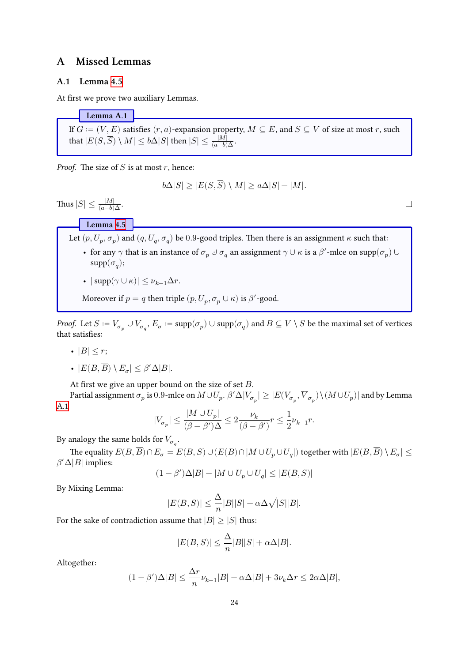# <span id="page-23-0"></span>**A Missed Lemmas**

### **A.1 Lemma [4.5](#page-12-0)**

At first we prove two auxiliary Lemmas.

<span id="page-23-1"></span>**Lemma A.1** If  $G := (V, E)$  satisfies  $(r, a)$ -expansion property,  $M \subseteq E$ , and  $S \subseteq V$  of size at most  $r$ , such that  $|E(S, \overline{S}) \setminus M| \leq b \Delta |S|$  then  $|S| \leq \frac{|M|}{(a - b) \Delta}.$ 

*Proof.* The size of  $S$  is at most  $r$ , hence:

$$
b\Delta|S| \ge |E(S, S) \setminus M| \ge a\Delta|S| - |M|.
$$

Thus  $|S| \leq \frac{|M|}{(a-b)\Delta}$ .

**Lemma [4.5](#page-12-0)**

Let  $(p, U_p, \sigma_p)$  and  $(q, U_q, \sigma_q)$  be 0.9-good triples. Then there is an assignment  $\kappa$  such that:

- for any  $\gamma$  that is an instance of  $\sigma_p \cup \sigma_q$  an assignment  $\gamma \cup \kappa$  is a  $\beta'$ -mlce on  $\text{supp}(\sigma_p) \cup$  $\mathrm{supp}(\sigma_q);$
- $|\text{supp}(\gamma \cup \kappa)| \leq \nu_{k-1}\Delta r$ .

Moreover if  $p = q$  then triple  $(p, U_p, \sigma_p \cup \kappa)$  is  $\beta'$ -good.

*Proof.* Let  $S:=V_{\sigma_p}\cup V_{\sigma_q},$   $E_{\sigma}:=\mathrm{supp}(\sigma_p)\cup\mathrm{supp}(\sigma_q)$  and  $B\subseteq V\setminus S$  be the maximal set of vertices that satisfies:

- $|B| < r$ ;
- $|E(B, \overline{B}) \setminus E_{\sigma}| \leq \beta' \Delta |B|.$

At first we give an upper bound on the size of set  $B$ .

Partial assignment  $\sigma_p$  is  $0.9$ -mlce on  $M\cup U_p.$   $\beta'\Delta|V_{\sigma_p}|\geq |E(V_{\sigma_p},\overline{V}_{\sigma_p})\backslash(M\cup U_p)|$  and by Lemma [A.1](#page-23-1)

$$
|V_{\sigma_p}|\leq \frac{|M\cup U_p|}{(\beta-\beta')\Delta}\leq 2\frac{\nu_k}{(\beta-\beta')}r\leq \frac{1}{2}\nu_{k-1}r.
$$

By analogy the same holds for  $V_{\sigma_q}$ .

The equality  $E(B, \overline{B}) \cap E_{\sigma} = E(B, S) \cup (E(B) \cap |M \cup U_p \cup U_q|)$  together with  $|E(B, B) \setminus E_{\sigma}| \leq$  $\beta' \Delta |B|$  implies:

$$
(1-\beta')\Delta|B|-|M\cup U_p\cup U_q|\leq |E(B,S)|
$$

By Mixing Lemma:

$$
|E(B, S)| \le \frac{\Delta}{n}|B||S| + \alpha \Delta \sqrt{|S||B|}.
$$

For the sake of contradiction assume that  $|B| \geq |S|$  thus:

$$
|E(B, S)| \le \frac{\Delta}{n}|B||S| + \alpha \Delta |B|.
$$

Altogether:

$$
(1-\beta')\Delta |B| \leq \frac{\Delta r}{n} \nu_{k-1} |B| + \alpha \Delta |B| + 3 \nu_k \Delta r \leq 2 \alpha \Delta |B|,
$$

 $\Box$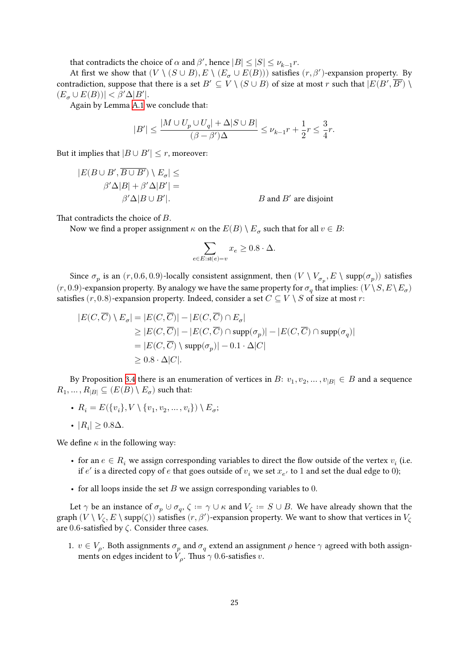that contradicts the choice of  $\alpha$  and  $\beta'$ , hence  $|B| \leq |S| \leq \nu_{k-1}r$ .

At first we show that  $(V \setminus (S \cup B), E \setminus (E_{\sigma} \cup E(B)))$  satisfies  $(r, \beta')$ -expansion property. By contradiction, suppose that there is a set  $B' \subseteq V \setminus (S \cup B)$  of size at most  $r$  such that  $|E(B', \overline{B'}) \setminus B'|$  $(E_{\sigma} \cup E(B))| < \beta' \Delta |B'|.$ 

Again by Lemma [A.1](#page-23-1) we conclude that:

$$
|B'| \leq \frac{|M \cup U_p \cup U_q| + \Delta |S \cup B|}{(\beta - \beta')\Delta} \leq \nu_{k-1}r + \frac{1}{2}r \leq \frac{3}{4}r.
$$

But it implies that  $|B \cup B'| \leq r$ , moreover:

$$
|E(B \cup B', \overline{B \cup B'}) \setminus E_{\sigma}| \le
$$
  

$$
\beta' \Delta |B| + \beta' \Delta |B'| =
$$
  

$$
\beta' \Delta |B \cup B'|.
$$
  
*B* and *B'* are disjoint

That contradicts the choice of  $B$ .

Now we find a proper assignment  $\kappa$  on the  $E(B)\setminus E_{\sigma}$  such that for all  $v\in B$ :

$$
\sum_{e \in E: \text{st}(e)=v} x_e \geq 0.8 \cdot \Delta.
$$

Since  $\sigma_p$  is an  $(r,0.6,0.9)$ -locally consistent assignment, then  $(V\setminus V_{\sigma_p},E\setminus\mathrm{supp}(\sigma_p))$  satisfies  $(r, 0.9)$ -expansion property. By analogy we have the same property for  $\sigma_q$  that implies:  $(V \setminus S, E \setminus E_\sigma)$ satisfies  $(r, 0.8)$ -expansion property. Indeed, consider a set  $C \subseteq V \setminus S$  of size at most r:

$$
|E(C,\overline{C}) \setminus E_{\sigma}| = |E(C,\overline{C})| - |E(C,\overline{C}) \cap E_{\sigma}|
$$
  
\n
$$
\geq |E(C,\overline{C})| - |E(C,\overline{C}) \cap \text{supp}(\sigma_p)| - |E(C,\overline{C}) \cap \text{supp}(\sigma_q)|
$$
  
\n
$$
= |E(C,\overline{C}) \setminus \text{supp}(\sigma_p)| - 0.1 \cdot \Delta|C|
$$
  
\n
$$
\geq 0.8 \cdot \Delta|C|.
$$

By Proposition [3.4](#page-6-2) there is an enumeration of vertices in  $B: v_1, v_2, ..., v_{|B|} \in B$  and a sequence  $R_1, \ldots, R_{|B|} \subseteq (E(B) \setminus E_{\sigma})$  such that:

- $R_i = E({v_i}, V \setminus {v_1, v_2, ..., v_i}) \setminus E_{\sigma};$
- $|R_i| \geq 0.8\Delta$ .

We define  $\kappa$  in the following way:

- for an  $e \in R_i$  we assign corresponding variables to direct the flow outside of the vertex  $v_i$  (i.e. if  $e'$  is a directed copy of  $e$  that goes outside of  $v_i$  we set  $x_{e'}$  to  $1$  and set the dual edge to 0);
- for all loops inside the set  $B$  we assign corresponding variables to 0.

Let  $\gamma$  be an instance of  $\sigma_p\cup\sigma_q,$   $\zeta\coloneqq\gamma\cup\kappa$  and  $V_\zeta\coloneqq S\cup B.$  We have already shown that the graph  $(V \setminus V_\zeta, E \setminus \text{supp}(\zeta))$  satisfies  $(r, \beta')$ -expansion property. We want to show that vertices in  $V_\zeta$ are 0.6-satisfied by  $\zeta$ . Consider three cases.

1.  $v \in V_\rho$ . Both assignments  $\sigma_p$  and  $\sigma_q$  extend an assignment  $\rho$  hence  $\gamma$  agreed with both assignments on edges incident to  $V_\rho$ . Thus  $\gamma$  0.6-satisfies  $v$ .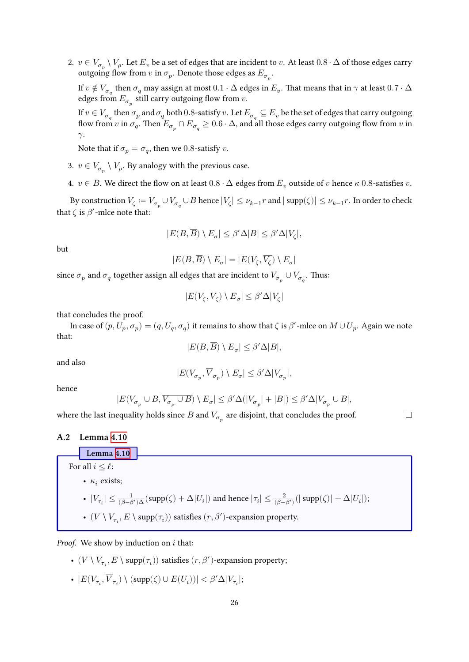2.  $v\in V_{\sigma_p}\setminus V_\rho.$  Let  $E_v$  be a set of edges that are incident to  $v.$  At least  $0.8\cdot\Delta$  of those edges carry outgoing flow from  $v$  in  $\sigma_p$ . Denote those edges as  $E_{\sigma_p}$ .

If  $v\notin V_{\sigma_q}$  then  $\sigma_q$  may assign at most  $0.1\cdot\Delta$  edges in  $E_v.$  That means that in  $\gamma$  at least  $0.7\cdot\Delta$ edges from  $E_{\sigma_p}$  still carry outgoing flow from  $v.$ 

If  $v\in V_{\sigma_q}$  then  $\sigma_p$  and  $\sigma_q$  both  $0.8$ -satisfy  $v.$  Let  $E_{\sigma_q}\subseteq E_v$  be the set of edges that carry outgoing flow from  $v$  in  $\sigma_q.$  Then  $E_{\sigma_p}\cap E_{\sigma_q}\geq 0.6\cdot\Delta,$  and all those edges carry outgoing flow from  $v$  in  $\gamma$ .

Note that if  $\sigma_p = \sigma_q$ , then we 0.8-satisfy v.

- 3.  $v \in V_{\sigma_p} \setminus V_\rho$ . By analogy with the previous case.
- 4.  $v \in B$ . We direct the flow on at least  $0.8 \cdot \Delta$  edges from  $E_v$  outside of v hence  $\kappa$  0.8-satisfies v.

By construction  $V_\zeta:=V_{\sigma_p}\cup V_{\sigma_q}\cup B$  hence  $|V_\zeta|\leq \nu_{k-1}r$  and  $|\operatorname{supp}(\zeta)|\leq \nu_{k-1}r.$  In order to check that  $\zeta$  is  $\beta'$ -mlce note that:

$$
|E(B,\overline{B})\setminus E_\sigma|\leq \beta'\Delta|B|\leq \beta'\Delta|V_\zeta|,
$$

but

$$
|E(B,\overline{B})\setminus E_\sigma|=|E(V_\zeta,\overline{V_\zeta})\setminus E_\sigma|
$$

since  $\sigma_p$  and  $\sigma_q$  together assign all edges that are incident to  $V_{\sigma_p} \cup V_{\sigma_q}.$  Thus:

$$
|E(V_\zeta,\overline{V_\zeta})\setminus E_\sigma|\leq \beta'\Delta|V_\zeta|
$$

that concludes the proof.

In case of  $(p, U_p, \sigma_p) = (q, U_q, \sigma_q)$  it remains to show that  $\zeta$  is  $\beta'$ -mlce on  $M\cup U_p.$  Again we note that:

$$
|E(B,\overline{B})\setminus E_{\sigma}|\leq \beta'\Delta|B|,
$$

and also

$$
|E(V_{\sigma_p},\overline{V}_{\sigma_p})\setminus E_\sigma|\leq \beta'\Delta|V_{\sigma_p}|,
$$

hence

$$
|E(V_{\sigma_p}\cup B,\overline{V_{\sigma_p}\cup B})\setminus E_{\sigma}|\leq \beta'\Delta(|V_{\sigma_p}|+|B|)\leq \beta'\Delta|V_{\sigma_p}\cup B|,
$$

 $\Box$ 

where the last inequality holds since  $B$  and  $V_{\sigma_p}$  are disjoint, that concludes the proof.

### **A.2 Lemma [4.10](#page-16-1)**

**Lemma [4.10](#page-16-1)** For all  $i \leq \ell$ : •  $\kappa_i$  exists; -  $|V_{\tau_i}|\leq \frac{1}{(\beta-\beta')\Delta}(\text{supp}(\zeta)+\Delta|U_i|)$  and hence  $|\tau_i|\leq \frac{2}{(\beta-\beta') }(|\text{supp}(\zeta)|+\Delta|U_i|);$ -  $(V\setminus V_{\tau_i},E\setminus \mathrm{supp}(\tau_i))$  satisfies  $(r,\beta')$  -expansion property.

*Proof.* We show by induction on  $i$  that:

- $(V\setminus V_{\tau_i},E\setminus \mathrm{supp}(\tau_i))$  satisfies  $(r,\beta')$  -expansion property;
- $|E(V_{\tau_i},\overline{V}_{\tau_i}) \setminus (\text{supp}(\zeta) \cup E(U_i))| < \beta' \Delta |V_{\tau_i}|;$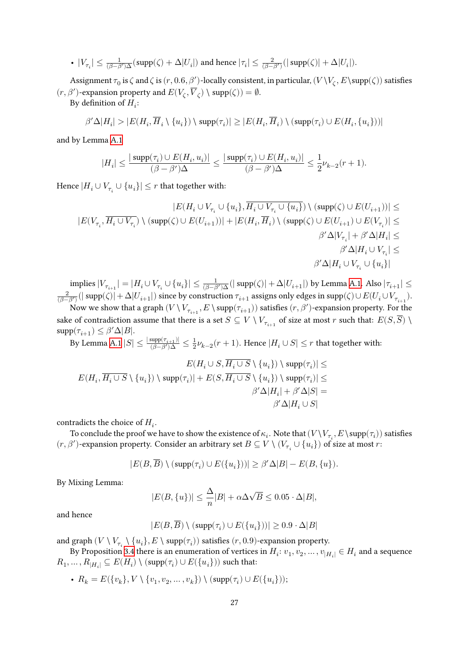$$
\text{ }\text{ }\text{ }|V_{\tau_i}|\leq \textstyle\frac{1}{(\beta-\beta')\Delta}(\text{supp}(\zeta)+\Delta|U_i|) \text{ and hence } |\tau_i|\leq \textstyle\frac{2}{(\beta-\beta')}(|\text{supp}(\zeta)|+\Delta|U_i|).
$$

Assignment  $\tau_0$  is  $\zeta$  and  $\zeta$  is  $(r, 0.6, \beta')$ -locally consistent, in particular,  $(V\setminus V_\zeta, E\setminus \text{supp}(\zeta))$  satisfies  $(r, \beta')$  -expansion property and  $E(V_\zeta, \overline{V}_\zeta) \setminus {\rm supp}(\zeta)) = \emptyset.$ 

By definition of  $H_i$ :

$$
\beta'\Delta|H_i| > |E(H_i, \overline{H}_i \setminus \{u_i\}) \setminus \mathrm{supp}(\tau_i)| \geq |E(H_i, \overline{H}_i) \setminus (\mathrm{supp}(\tau_i) \cup E(H_i, \{u_i\}))|
$$

and by Lemma [A.1](#page-23-1)

$$
|H_i|\leq \frac{|\operatorname{supp}(\tau_i)\cup E(H_i,u_i)|}{(\beta-\beta')\Delta}\leq \frac{|\operatorname{supp}(\tau_i)\cup E(H_i,u_i)|}{(\beta-\beta')\Delta}\leq \frac{1}{2}\nu_{k-2}(r+1).
$$

Hence  $|H_i \cup V_{\tau_i} \cup \{u_i\}| \leq r$  that together with:

$$
|E(H_i \cup V_{\tau_i} \cup \{u_i\}, H_i \cup V_{\tau_i} \cup \{u_i\}) \setminus (\text{supp}(\zeta) \cup E(U_{i+1}))| \leq \\ |E(V_{\tau_i}, \overline{H_i \cup V_{\tau_i}}) \setminus (\text{supp}(\zeta) \cup E(U_{i+1}))| + |E(H_i, \overline{H}_i) \setminus (\text{supp}(\zeta) \cup E(U_{i+1}) \cup E(V_{\tau_i})| \leq \\ \beta' \Delta |V_{\tau_i}| + \beta' \Delta |H_i| \leq \\ \beta' \Delta |H_i \cup V_{\tau_i}| \leq \\ \beta' \Delta |H_i \cup V_{\tau_i} \cup \{u_i\}|
$$

implies  $|V_{\tau_{i+1}}|=|H_i\cup V_{\tau_i}\cup\{u_i\}|\leq \frac{1}{(\beta-\beta')\Delta}(|\operatorname{supp}(\zeta)|+\Delta|U_{i+1}|)$  by Lemma [A.1](#page-23-1). Also  $|\tau_{i+1}|\leq \frac{1}{(\beta-\beta')\Delta}$  $\frac{2}{(\beta-\beta')}(|\operatorname{supp}(\zeta)|+\Delta|U_{i+1}|)$  since by construction  $\tau_{i+1}$  assigns only edges in  $\operatorname{supp}(\zeta)\cup E(U_i\cup V_{\tau_{i+1}}).$ 

Now we show that a graph  $(V\setminus V_{\tau_{i+1}},E\setminus\mathrm{supp}(\tau_{i+1}))$  satisfies  $(r,\beta')$  -expansion property. For the sake of contradiction assume that there is a set  $S\subseteq V\setminus V_{\tau_{i+1}}$  of size at most  $r$  such that:  $E(S, S)\setminus V$  $\text{supp}(\tau_{i+1}) \leq \beta' \Delta |B|.$ 

By Lemma [A.1](#page-23-1)  $|S| \leq \frac{|\text{supp}(\tau_{i+1})|}{(\beta - \beta')\Delta} \leq \frac{1}{2}$  $\frac{1}{2}\nu_{k-2}(r+1)$ . Hence  $|H_i\cup S|\leq r$  that together with:

$$
E(H_i \cup S, H_i \cup S \setminus \{u_i\}) \setminus \text{supp}(\tau_i)| \leq
$$
  

$$
E(H_i, \overline{H_i \cup S} \setminus \{u_i\}) \setminus \text{supp}(\tau_i)| + E(S, \overline{H_i \cup S} \setminus \{u_i\}) \setminus \text{supp}(\tau_i)| \leq
$$
  

$$
\beta' \Delta |H_i| + \beta' \Delta |S| =
$$
  

$$
\beta' \Delta |H_i \cup S|
$$

contradicts the choice of  $H_i$ .

To conclude the proof we have to show the existence of  $\kappa_i.$  Note that  $(V\setminus V_{\tau_i},E\setminus\mathrm{supp}(\tau_i))$  satisfies  $(r,\beta')$  -expansion property. Consider an arbitrary set  $B\subseteq V\setminus (V_{\tau_i}\cup\{u_i\})$  of size at most  $r$ 

$$
|E(B, \overline{B}) \setminus (\mathrm{supp}(\tau_i) \cup E(\{u_i\}))| \geq \beta' \Delta |B| - E(B, \{u\}).
$$

By Mixing Lemma:

$$
|E(B,\{u\})|\leq \frac{\Delta}{n}|B|+\alpha \Delta \sqrt{B}\leq 0.05\cdot \Delta |B|,
$$

and hence

$$
|E(B, \overline{B}) \setminus (\text{supp}(\tau_i) \cup E(\{u_i\}))| \ge 0.9 \cdot \Delta|B|
$$

and graph  $(V\setminus V_{\tau_i}\setminus \{u_i\},E\setminus \mathrm{supp}(\tau_i))$  satisfies  $(r,0.9)$  -expansion property.

By Proposition [3.4](#page-6-2) there is an enumeration of vertices in  $H_i: v_1, v_2, \ldots, v_{|H_i|} \in H_i$  and a sequence  $R_1,\ldots,R_{|H_i|}\subseteq E(H_i)\setminus (\mathrm{supp}(\tau_i)\cup E(\{u_i\}))$  such that:

•  $R_k = E({v_k}, V \setminus {v_1, v_2, ..., v_k}) \setminus (supp(\tau_i) \cup E({u_i}));$